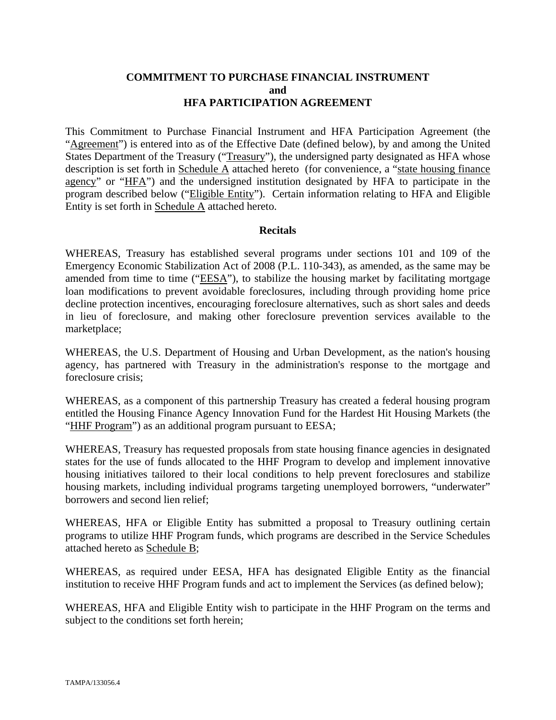#### **COMMITMENT TO PURCHASE FINANCIAL INSTRUMENT and HFA PARTICIPATION AGREEMENT**

This Commitment to Purchase Financial Instrument and HFA Participation Agreement (the "Agreement") is entered into as of the Effective Date (defined below), by and among the United States Department of the Treasury ("Treasury"), the undersigned party designated as HFA whose description is set forth in Schedule A attached hereto (for convenience, a "state housing finance agency" or "HFA") and the undersigned institution designated by HFA to participate in the program described below ("Eligible Entity"). Certain information relating to HFA and Eligible Entity is set forth in Schedule A attached hereto.

#### **Recitals**

WHEREAS, Treasury has established several programs under sections 101 and 109 of the Emergency Economic Stabilization Act of 2008 (P.L. 110-343), as amended, as the same may be amended from time to time ("EESA"), to stabilize the housing market by facilitating mortgage loan modifications to prevent avoidable foreclosures, including through providing home price decline protection incentives, encouraging foreclosure alternatives, such as short sales and deeds in lieu of foreclosure, and making other foreclosure prevention services available to the marketplace;

WHEREAS, the U.S. Department of Housing and Urban Development, as the nation's housing agency, has partnered with Treasury in the administration's response to the mortgage and foreclosure crisis;

WHEREAS, as a component of this partnership Treasury has created a federal housing program entitled the Housing Finance Agency Innovation Fund for the Hardest Hit Housing Markets (the "HHF Program") as an additional program pursuant to EESA;

WHEREAS, Treasury has requested proposals from state housing finance agencies in designated states for the use of funds allocated to the HHF Program to develop and implement innovative housing initiatives tailored to their local conditions to help prevent foreclosures and stabilize housing markets, including individual programs targeting unemployed borrowers, "underwater" borrowers and second lien relief;

WHEREAS, HFA or Eligible Entity has submitted a proposal to Treasury outlining certain programs to utilize HHF Program funds, which programs are described in the Service Schedules attached hereto as Schedule B;

WHEREAS, as required under EESA, HFA has designated Eligible Entity as the financial institution to receive HHF Program funds and act to implement the Services (as defined below);

WHEREAS, HFA and Eligible Entity wish to participate in the HHF Program on the terms and subject to the conditions set forth herein;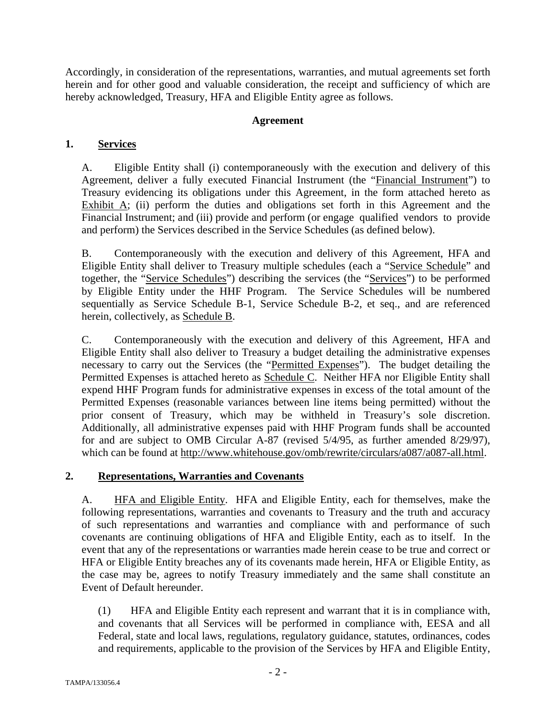Accordingly, in consideration of the representations, warranties, and mutual agreements set forth herein and for other good and valuable consideration, the receipt and sufficiency of which are hereby acknowledged, Treasury, HFA and Eligible Entity agree as follows.

## **Agreement**

# **1. Services**

A. Eligible Entity shall (i) contemporaneously with the execution and delivery of this Agreement, deliver a fully executed Financial Instrument (the "Financial Instrument") to Treasury evidencing its obligations under this Agreement, in the form attached hereto as Exhibit  $\overline{A}$ ; (ii) perform the duties and obligations set forth in this Agreement and the Financial Instrument; and (iii) provide and perform (or engage qualified vendors to provide and perform) the Services described in the Service Schedules (as defined below).

B. Contemporaneously with the execution and delivery of this Agreement, HFA and Eligible Entity shall deliver to Treasury multiple schedules (each a "Service Schedule" and together, the "Service Schedules") describing the services (the "Services") to be performed by Eligible Entity under the HHF Program. The Service Schedules will be numbered sequentially as Service Schedule B-1, Service Schedule B-2, et seq., and are referenced herein, collectively, as Schedule B.

C. Contemporaneously with the execution and delivery of this Agreement, HFA and Eligible Entity shall also deliver to Treasury a budget detailing the administrative expenses necessary to carry out the Services (the "Permitted Expenses"). The budget detailing the Permitted Expenses is attached hereto as Schedule C. Neither HFA nor Eligible Entity shall expend HHF Program funds for administrative expenses in excess of the total amount of the Permitted Expenses (reasonable variances between line items being permitted) without the prior consent of Treasury, which may be withheld in Treasury's sole discretion. Additionally, all administrative expenses paid with HHF Program funds shall be accounted for and are subject to OMB Circular A-87 (revised 5/4/95, as further amended 8/29/97), which can be found at http://www.whitehouse.gov/omb/rewrite/circulars/a087/a087-all.html.

## **2. Representations, Warranties and Covenants**

A. **HFA and Eligible Entity.** HFA and Eligible Entity, each for themselves, make the following representations, warranties and covenants to Treasury and the truth and accuracy of such representations and warranties and compliance with and performance of such covenants are continuing obligations of HFA and Eligible Entity, each as to itself. In the event that any of the representations or warranties made herein cease to be true and correct or HFA or Eligible Entity breaches any of its covenants made herein, HFA or Eligible Entity, as the case may be, agrees to notify Treasury immediately and the same shall constitute an Event of Default hereunder.

(1) HFA and Eligible Entity each represent and warrant that it is in compliance with, and covenants that all Services will be performed in compliance with, EESA and all Federal, state and local laws, regulations, regulatory guidance, statutes, ordinances, codes and requirements, applicable to the provision of the Services by HFA and Eligible Entity,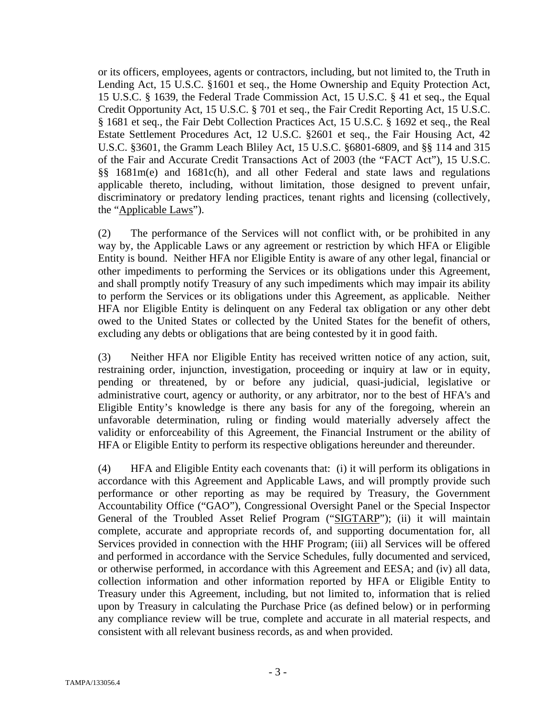or its officers, employees, agents or contractors, including, but not limited to, the Truth in Lending Act, 15 U.S.C. §1601 et seq., the Home Ownership and Equity Protection Act, 15 U.S.C. § 1639, the Federal Trade Commission Act, 15 U.S.C. § 41 et seq., the Equal Credit Opportunity Act, 15 U.S.C. § 701 et seq., the Fair Credit Reporting Act, 15 U.S.C. § 1681 et seq., the Fair Debt Collection Practices Act, 15 U.S.C. § 1692 et seq., the Real Estate Settlement Procedures Act, 12 U.S.C. §2601 et seq., the Fair Housing Act, 42 U.S.C. §3601, the Gramm Leach Bliley Act, 15 U.S.C. §6801-6809, and §§ 114 and 315 of the Fair and Accurate Credit Transactions Act of 2003 (the "FACT Act"), 15 U.S.C. §§ 1681m(e) and 1681c(h), and all other Federal and state laws and regulations applicable thereto, including, without limitation, those designed to prevent unfair, discriminatory or predatory lending practices, tenant rights and licensing (collectively, the "Applicable Laws").

(2) The performance of the Services will not conflict with, or be prohibited in any way by, the Applicable Laws or any agreement or restriction by which HFA or Eligible Entity is bound. Neither HFA nor Eligible Entity is aware of any other legal, financial or other impediments to performing the Services or its obligations under this Agreement, and shall promptly notify Treasury of any such impediments which may impair its ability to perform the Services or its obligations under this Agreement, as applicable. Neither HFA nor Eligible Entity is delinquent on any Federal tax obligation or any other debt owed to the United States or collected by the United States for the benefit of others, excluding any debts or obligations that are being contested by it in good faith.

(3) Neither HFA nor Eligible Entity has received written notice of any action, suit, restraining order, injunction, investigation, proceeding or inquiry at law or in equity, pending or threatened, by or before any judicial, quasi-judicial, legislative or administrative court, agency or authority, or any arbitrator, nor to the best of HFA's and Eligible Entity's knowledge is there any basis for any of the foregoing, wherein an unfavorable determination, ruling or finding would materially adversely affect the validity or enforceability of this Agreement, the Financial Instrument or the ability of HFA or Eligible Entity to perform its respective obligations hereunder and thereunder.

(4) HFA and Eligible Entity each covenants that: (i) it will perform its obligations in accordance with this Agreement and Applicable Laws, and will promptly provide such performance or other reporting as may be required by Treasury, the Government Accountability Office ("GAO"), Congressional Oversight Panel or the Special Inspector General of the Troubled Asset Relief Program ("SIGTARP"); (ii) it will maintain complete, accurate and appropriate records of, and supporting documentation for, all Services provided in connection with the HHF Program; (iii) all Services will be offered and performed in accordance with the Service Schedules, fully documented and serviced, or otherwise performed, in accordance with this Agreement and EESA; and (iv) all data, collection information and other information reported by HFA or Eligible Entity to Treasury under this Agreement, including, but not limited to, information that is relied upon by Treasury in calculating the Purchase Price (as defined below) or in performing any compliance review will be true, complete and accurate in all material respects, and consistent with all relevant business records, as and when provided.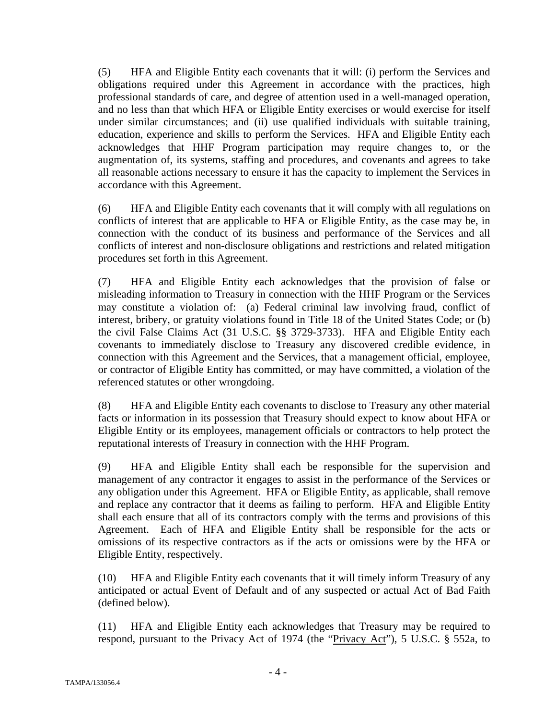(5) HFA and Eligible Entity each covenants that it will: (i) perform the Services and obligations required under this Agreement in accordance with the practices, high professional standards of care, and degree of attention used in a well-managed operation, and no less than that which HFA or Eligible Entity exercises or would exercise for itself under similar circumstances; and (ii) use qualified individuals with suitable training, education, experience and skills to perform the Services. HFA and Eligible Entity each acknowledges that HHF Program participation may require changes to, or the augmentation of, its systems, staffing and procedures, and covenants and agrees to take all reasonable actions necessary to ensure it has the capacity to implement the Services in accordance with this Agreement.

(6) HFA and Eligible Entity each covenants that it will comply with all regulations on conflicts of interest that are applicable to HFA or Eligible Entity, as the case may be, in connection with the conduct of its business and performance of the Services and all conflicts of interest and non-disclosure obligations and restrictions and related mitigation procedures set forth in this Agreement.

(7) HFA and Eligible Entity each acknowledges that the provision of false or misleading information to Treasury in connection with the HHF Program or the Services may constitute a violation of: (a) Federal criminal law involving fraud, conflict of interest, bribery, or gratuity violations found in Title 18 of the United States Code; or (b) the civil False Claims Act (31 U.S.C. §§ 3729-3733). HFA and Eligible Entity each covenants to immediately disclose to Treasury any discovered credible evidence, in connection with this Agreement and the Services, that a management official, employee, or contractor of Eligible Entity has committed, or may have committed, a violation of the referenced statutes or other wrongdoing.

(8) HFA and Eligible Entity each covenants to disclose to Treasury any other material facts or information in its possession that Treasury should expect to know about HFA or Eligible Entity or its employees, management officials or contractors to help protect the reputational interests of Treasury in connection with the HHF Program.

(9) HFA and Eligible Entity shall each be responsible for the supervision and management of any contractor it engages to assist in the performance of the Services or any obligation under this Agreement. HFA or Eligible Entity, as applicable, shall remove and replace any contractor that it deems as failing to perform. HFA and Eligible Entity shall each ensure that all of its contractors comply with the terms and provisions of this Agreement. Each of HFA and Eligible Entity shall be responsible for the acts or omissions of its respective contractors as if the acts or omissions were by the HFA or Eligible Entity, respectively.

(10) HFA and Eligible Entity each covenants that it will timely inform Treasury of any anticipated or actual Event of Default and of any suspected or actual Act of Bad Faith (defined below).

(11) HFA and Eligible Entity each acknowledges that Treasury may be required to respond, pursuant to the Privacy Act of 1974 (the "Privacy Act"), 5 U.S.C. § 552a, to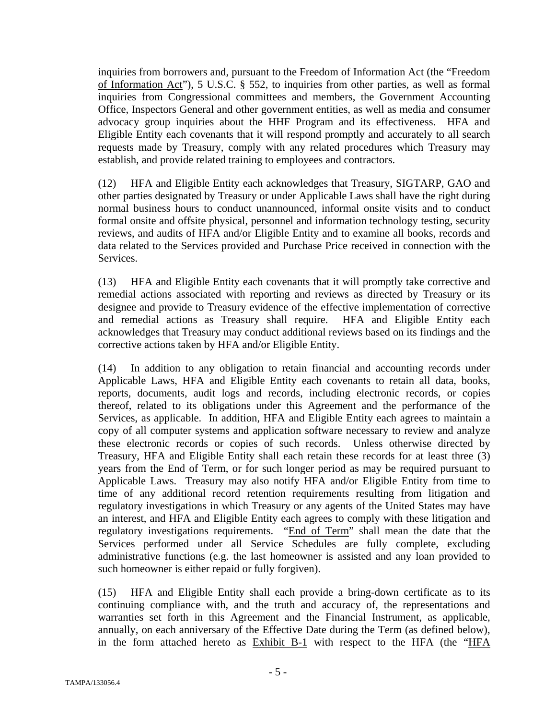inquiries from borrowers and, pursuant to the Freedom of Information Act (the "Freedom of Information Act"), 5 U.S.C. § 552, to inquiries from other parties, as well as formal inquiries from Congressional committees and members, the Government Accounting Office, Inspectors General and other government entities, as well as media and consumer advocacy group inquiries about the HHF Program and its effectiveness. HFA and Eligible Entity each covenants that it will respond promptly and accurately to all search requests made by Treasury, comply with any related procedures which Treasury may establish, and provide related training to employees and contractors.

(12) HFA and Eligible Entity each acknowledges that Treasury, SIGTARP, GAO and other parties designated by Treasury or under Applicable Laws shall have the right during normal business hours to conduct unannounced, informal onsite visits and to conduct formal onsite and offsite physical, personnel and information technology testing, security reviews, and audits of HFA and/or Eligible Entity and to examine all books, records and data related to the Services provided and Purchase Price received in connection with the Services.

(13) HFA and Eligible Entity each covenants that it will promptly take corrective and remedial actions associated with reporting and reviews as directed by Treasury or its designee and provide to Treasury evidence of the effective implementation of corrective and remedial actions as Treasury shall require. HFA and Eligible Entity each acknowledges that Treasury may conduct additional reviews based on its findings and the corrective actions taken by HFA and/or Eligible Entity.

(14) In addition to any obligation to retain financial and accounting records under Applicable Laws, HFA and Eligible Entity each covenants to retain all data, books, reports, documents, audit logs and records, including electronic records, or copies thereof, related to its obligations under this Agreement and the performance of the Services, as applicable. In addition, HFA and Eligible Entity each agrees to maintain a copy of all computer systems and application software necessary to review and analyze these electronic records or copies of such records. Unless otherwise directed by Treasury, HFA and Eligible Entity shall each retain these records for at least three (3) years from the End of Term, or for such longer period as may be required pursuant to Applicable Laws. Treasury may also notify HFA and/or Eligible Entity from time to time of any additional record retention requirements resulting from litigation and regulatory investigations in which Treasury or any agents of the United States may have an interest, and HFA and Eligible Entity each agrees to comply with these litigation and regulatory investigations requirements. "End of Term" shall mean the date that the Services performed under all Service Schedules are fully complete, excluding administrative functions (e.g. the last homeowner is assisted and any loan provided to such homeowner is either repaid or fully forgiven).

(15) HFA and Eligible Entity shall each provide a bring-down certificate as to its continuing compliance with, and the truth and accuracy of, the representations and warranties set forth in this Agreement and the Financial Instrument, as applicable, annually, on each anniversary of the Effective Date during the Term (as defined below), in the form attached hereto as Exhibit B-1 with respect to the HFA (the "HFA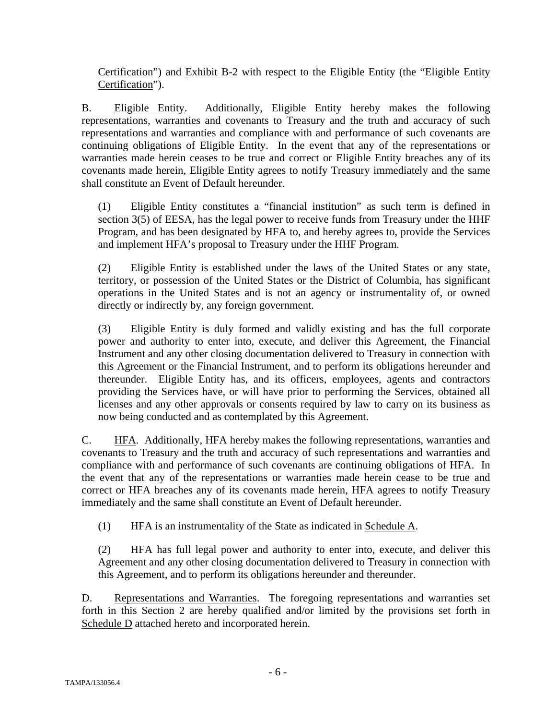Certification") and Exhibit B-2 with respect to the Eligible Entity (the "Eligible Entity Certification").

B. Eligible Entity. Additionally, Eligible Entity hereby makes the following representations, warranties and covenants to Treasury and the truth and accuracy of such representations and warranties and compliance with and performance of such covenants are continuing obligations of Eligible Entity. In the event that any of the representations or warranties made herein ceases to be true and correct or Eligible Entity breaches any of its covenants made herein, Eligible Entity agrees to notify Treasury immediately and the same shall constitute an Event of Default hereunder.

(1) Eligible Entity constitutes a "financial institution" as such term is defined in section 3(5) of EESA, has the legal power to receive funds from Treasury under the HHF Program, and has been designated by HFA to, and hereby agrees to, provide the Services and implement HFA's proposal to Treasury under the HHF Program.

(2) Eligible Entity is established under the laws of the United States or any state, territory, or possession of the United States or the District of Columbia, has significant operations in the United States and is not an agency or instrumentality of, or owned directly or indirectly by, any foreign government.

(3) Eligible Entity is duly formed and validly existing and has the full corporate power and authority to enter into, execute, and deliver this Agreement, the Financial Instrument and any other closing documentation delivered to Treasury in connection with this Agreement or the Financial Instrument, and to perform its obligations hereunder and thereunder. Eligible Entity has, and its officers, employees, agents and contractors providing the Services have, or will have prior to performing the Services, obtained all licenses and any other approvals or consents required by law to carry on its business as now being conducted and as contemplated by this Agreement.

C. HFA. Additionally, HFA hereby makes the following representations, warranties and covenants to Treasury and the truth and accuracy of such representations and warranties and compliance with and performance of such covenants are continuing obligations of HFA. In the event that any of the representations or warranties made herein cease to be true and correct or HFA breaches any of its covenants made herein, HFA agrees to notify Treasury immediately and the same shall constitute an Event of Default hereunder.

(1) HFA is an instrumentality of the State as indicated in Schedule A.

(2) HFA has full legal power and authority to enter into, execute, and deliver this Agreement and any other closing documentation delivered to Treasury in connection with this Agreement, and to perform its obligations hereunder and thereunder.

D. Representations and Warranties. The foregoing representations and warranties set forth in this Section 2 are hereby qualified and/or limited by the provisions set forth in Schedule D attached hereto and incorporated herein.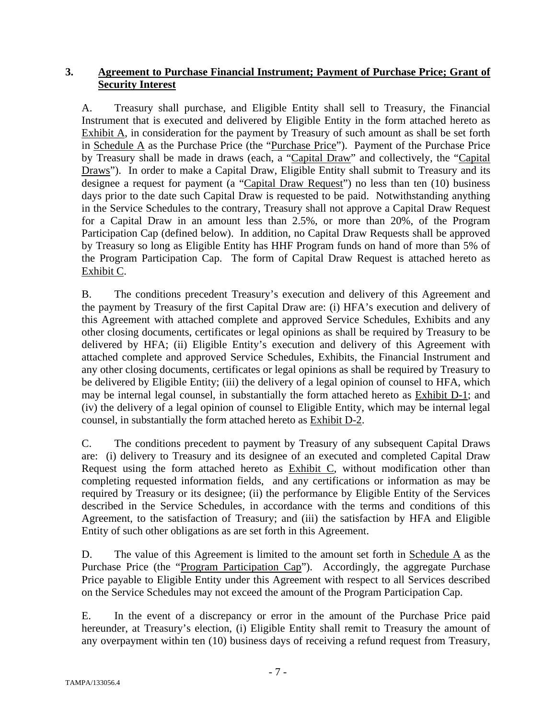# **3. Agreement to Purchase Financial Instrument; Payment of Purchase Price; Grant of Security Interest**

A. Treasury shall purchase, and Eligible Entity shall sell to Treasury, the Financial Instrument that is executed and delivered by Eligible Entity in the form attached hereto as Exhibit A, in consideration for the payment by Treasury of such amount as shall be set forth in Schedule A as the Purchase Price (the "Purchase Price"). Payment of the Purchase Price by Treasury shall be made in draws (each, a "Capital Draw" and collectively, the "Capital Draws"). In order to make a Capital Draw, Eligible Entity shall submit to Treasury and its designee a request for payment (a "Capital Draw Request") no less than ten (10) business days prior to the date such Capital Draw is requested to be paid. Notwithstanding anything in the Service Schedules to the contrary, Treasury shall not approve a Capital Draw Request for a Capital Draw in an amount less than 2.5%, or more than 20%, of the Program Participation Cap (defined below). In addition, no Capital Draw Requests shall be approved by Treasury so long as Eligible Entity has HHF Program funds on hand of more than 5% of the Program Participation Cap. The form of Capital Draw Request is attached hereto as Exhibit C.

B. The conditions precedent Treasury's execution and delivery of this Agreement and the payment by Treasury of the first Capital Draw are: (i) HFA's execution and delivery of this Agreement with attached complete and approved Service Schedules, Exhibits and any other closing documents, certificates or legal opinions as shall be required by Treasury to be delivered by HFA; (ii) Eligible Entity's execution and delivery of this Agreement with attached complete and approved Service Schedules, Exhibits, the Financial Instrument and any other closing documents, certificates or legal opinions as shall be required by Treasury to be delivered by Eligible Entity; (iii) the delivery of a legal opinion of counsel to HFA, which may be internal legal counsel, in substantially the form attached hereto as Exhibit D-1; and (iv) the delivery of a legal opinion of counsel to Eligible Entity, which may be internal legal counsel, in substantially the form attached hereto as Exhibit D-2.

C. The conditions precedent to payment by Treasury of any subsequent Capital Draws are: (i) delivery to Treasury and its designee of an executed and completed Capital Draw Request using the form attached hereto as Exhibit C, without modification other than completing requested information fields, and any certifications or information as may be required by Treasury or its designee; (ii) the performance by Eligible Entity of the Services described in the Service Schedules, in accordance with the terms and conditions of this Agreement, to the satisfaction of Treasury; and (iii) the satisfaction by HFA and Eligible Entity of such other obligations as are set forth in this Agreement.

D. The value of this Agreement is limited to the amount set forth in Schedule  $\overline{A}$  as the Purchase Price (the "Program Participation Cap"). Accordingly, the aggregate Purchase Price payable to Eligible Entity under this Agreement with respect to all Services described on the Service Schedules may not exceed the amount of the Program Participation Cap.

E. In the event of a discrepancy or error in the amount of the Purchase Price paid hereunder, at Treasury's election, (i) Eligible Entity shall remit to Treasury the amount of any overpayment within ten (10) business days of receiving a refund request from Treasury,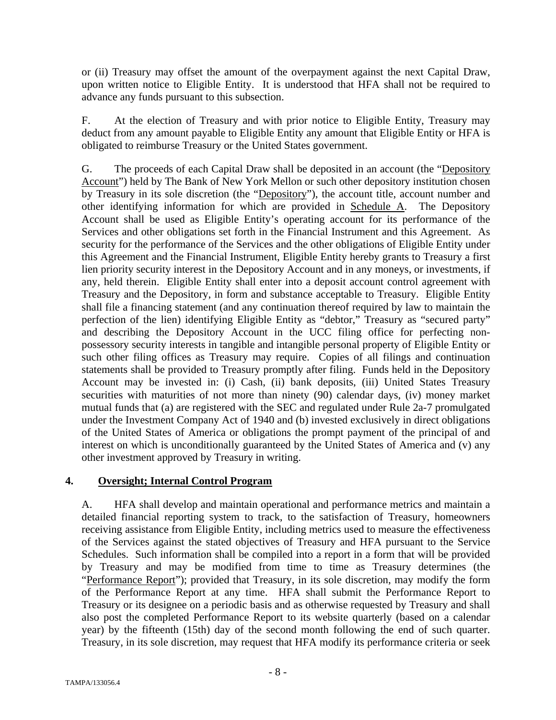or (ii) Treasury may offset the amount of the overpayment against the next Capital Draw, upon written notice to Eligible Entity. It is understood that HFA shall not be required to advance any funds pursuant to this subsection.

F. At the election of Treasury and with prior notice to Eligible Entity, Treasury may deduct from any amount payable to Eligible Entity any amount that Eligible Entity or HFA is obligated to reimburse Treasury or the United States government.

G. The proceeds of each Capital Draw shall be deposited in an account (the "Depository Account") held by The Bank of New York Mellon or such other depository institution chosen by Treasury in its sole discretion (the "Depository"), the account title, account number and other identifying information for which are provided in Schedule A. The Depository Account shall be used as Eligible Entity's operating account for its performance of the Services and other obligations set forth in the Financial Instrument and this Agreement. As security for the performance of the Services and the other obligations of Eligible Entity under this Agreement and the Financial Instrument, Eligible Entity hereby grants to Treasury a first lien priority security interest in the Depository Account and in any moneys, or investments, if any, held therein. Eligible Entity shall enter into a deposit account control agreement with Treasury and the Depository, in form and substance acceptable to Treasury. Eligible Entity shall file a financing statement (and any continuation thereof required by law to maintain the perfection of the lien) identifying Eligible Entity as "debtor," Treasury as "secured party" and describing the Depository Account in the UCC filing office for perfecting nonpossessory security interests in tangible and intangible personal property of Eligible Entity or such other filing offices as Treasury may require. Copies of all filings and continuation statements shall be provided to Treasury promptly after filing. Funds held in the Depository Account may be invested in: (i) Cash, (ii) bank deposits, (iii) United States Treasury securities with maturities of not more than ninety (90) calendar days, (iv) money market mutual funds that (a) are registered with the SEC and regulated under Rule 2a-7 promulgated under the Investment Company Act of 1940 and (b) invested exclusively in direct obligations of the United States of America or obligations the prompt payment of the principal of and interest on which is unconditionally guaranteed by the United States of America and (v) any other investment approved by Treasury in writing.

## **4. Oversight; Internal Control Program**

A. HFA shall develop and maintain operational and performance metrics and maintain a detailed financial reporting system to track, to the satisfaction of Treasury, homeowners receiving assistance from Eligible Entity, including metrics used to measure the effectiveness of the Services against the stated objectives of Treasury and HFA pursuant to the Service Schedules. Such information shall be compiled into a report in a form that will be provided by Treasury and may be modified from time to time as Treasury determines (the "Performance Report"); provided that Treasury, in its sole discretion, may modify the form of the Performance Report at any time. HFA shall submit the Performance Report to Treasury or its designee on a periodic basis and as otherwise requested by Treasury and shall also post the completed Performance Report to its website quarterly (based on a calendar year) by the fifteenth (15th) day of the second month following the end of such quarter. Treasury, in its sole discretion, may request that HFA modify its performance criteria or seek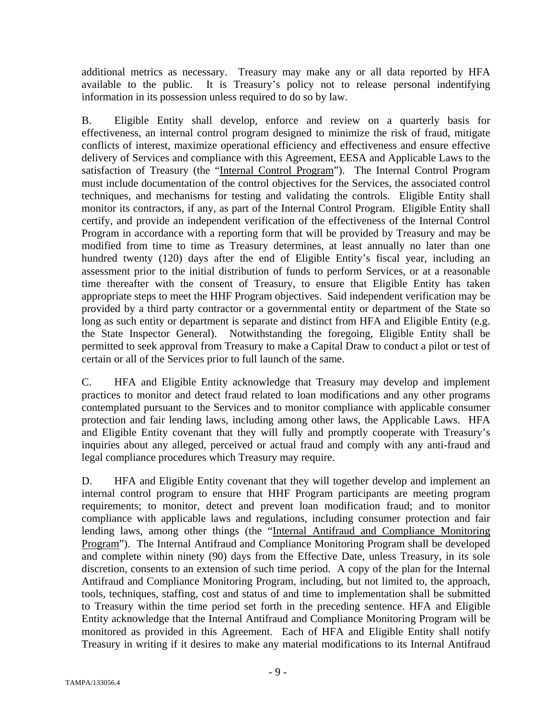additional metrics as necessary. Treasury may make any or all data reported by HFA available to the public. It is Treasury's policy not to release personal indentifying information in its possession unless required to do so by law.

B. Eligible Entity shall develop, enforce and review on a quarterly basis for effectiveness, an internal control program designed to minimize the risk of fraud, mitigate conflicts of interest, maximize operational efficiency and effectiveness and ensure effective delivery of Services and compliance with this Agreement, EESA and Applicable Laws to the satisfaction of Treasury (the "Internal Control Program"). The Internal Control Program must include documentation of the control objectives for the Services, the associated control techniques, and mechanisms for testing and validating the controls. Eligible Entity shall monitor its contractors, if any, as part of the Internal Control Program. Eligible Entity shall certify, and provide an independent verification of the effectiveness of the Internal Control Program in accordance with a reporting form that will be provided by Treasury and may be modified from time to time as Treasury determines, at least annually no later than one hundred twenty (120) days after the end of Eligible Entity's fiscal year, including an assessment prior to the initial distribution of funds to perform Services, or at a reasonable time thereafter with the consent of Treasury, to ensure that Eligible Entity has taken appropriate steps to meet the HHF Program objectives. Said independent verification may be provided by a third party contractor or a governmental entity or department of the State so long as such entity or department is separate and distinct from HFA and Eligible Entity (e.g. the State Inspector General). Notwithstanding the foregoing, Eligible Entity shall be permitted to seek approval from Treasury to make a Capital Draw to conduct a pilot or test of certain or all of the Services prior to full launch of the same.

C. HFA and Eligible Entity acknowledge that Treasury may develop and implement practices to monitor and detect fraud related to loan modifications and any other programs contemplated pursuant to the Services and to monitor compliance with applicable consumer protection and fair lending laws, including among other laws, the Applicable Laws. HFA and Eligible Entity covenant that they will fully and promptly cooperate with Treasury's inquiries about any alleged, perceived or actual fraud and comply with any anti-fraud and legal compliance procedures which Treasury may require.

D. HFA and Eligible Entity covenant that they will together develop and implement an internal control program to ensure that HHF Program participants are meeting program requirements; to monitor, detect and prevent loan modification fraud; and to monitor compliance with applicable laws and regulations, including consumer protection and fair lending laws, among other things (the "Internal Antifraud and Compliance Monitoring Program"). The Internal Antifraud and Compliance Monitoring Program shall be developed and complete within ninety (90) days from the Effective Date, unless Treasury, in its sole discretion, consents to an extension of such time period. A copy of the plan for the Internal Antifraud and Compliance Monitoring Program, including, but not limited to, the approach, tools, techniques, staffing, cost and status of and time to implementation shall be submitted to Treasury within the time period set forth in the preceding sentence. HFA and Eligible Entity acknowledge that the Internal Antifraud and Compliance Monitoring Program will be monitored as provided in this Agreement. Each of HFA and Eligible Entity shall notify Treasury in writing if it desires to make any material modifications to its Internal Antifraud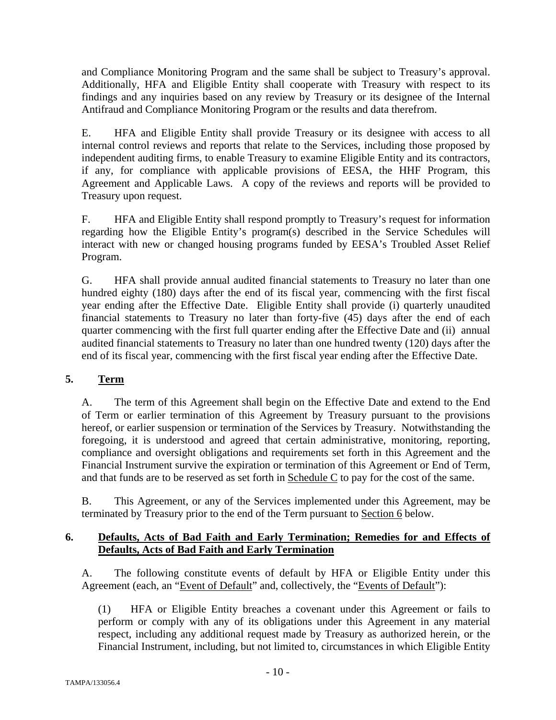and Compliance Monitoring Program and the same shall be subject to Treasury's approval. Additionally, HFA and Eligible Entity shall cooperate with Treasury with respect to its findings and any inquiries based on any review by Treasury or its designee of the Internal Antifraud and Compliance Monitoring Program or the results and data therefrom.

E. HFA and Eligible Entity shall provide Treasury or its designee with access to all internal control reviews and reports that relate to the Services, including those proposed by independent auditing firms, to enable Treasury to examine Eligible Entity and its contractors, if any, for compliance with applicable provisions of EESA, the HHF Program, this Agreement and Applicable Laws. A copy of the reviews and reports will be provided to Treasury upon request.

F. HFA and Eligible Entity shall respond promptly to Treasury's request for information regarding how the Eligible Entity's program(s) described in the Service Schedules will interact with new or changed housing programs funded by EESA's Troubled Asset Relief Program.

G. HFA shall provide annual audited financial statements to Treasury no later than one hundred eighty (180) days after the end of its fiscal year, commencing with the first fiscal year ending after the Effective Date. Eligible Entity shall provide (i) quarterly unaudited financial statements to Treasury no later than forty-five (45) days after the end of each quarter commencing with the first full quarter ending after the Effective Date and (ii) annual audited financial statements to Treasury no later than one hundred twenty (120) days after the end of its fiscal year, commencing with the first fiscal year ending after the Effective Date.

# **5. Term**

A. The term of this Agreement shall begin on the Effective Date and extend to the End of Term or earlier termination of this Agreement by Treasury pursuant to the provisions hereof, or earlier suspension or termination of the Services by Treasury. Notwithstanding the foregoing, it is understood and agreed that certain administrative, monitoring, reporting, compliance and oversight obligations and requirements set forth in this Agreement and the Financial Instrument survive the expiration or termination of this Agreement or End of Term, and that funds are to be reserved as set forth in Schedule C to pay for the cost of the same.

B. This Agreement, or any of the Services implemented under this Agreement, may be terminated by Treasury prior to the end of the Term pursuant to Section 6 below.

# **6. Defaults, Acts of Bad Faith and Early Termination; Remedies for and Effects of Defaults, Acts of Bad Faith and Early Termination**

A. The following constitute events of default by HFA or Eligible Entity under this Agreement (each, an "Event of Default" and, collectively, the "Events of Default"):

(1) HFA or Eligible Entity breaches a covenant under this Agreement or fails to perform or comply with any of its obligations under this Agreement in any material respect, including any additional request made by Treasury as authorized herein, or the Financial Instrument, including, but not limited to, circumstances in which Eligible Entity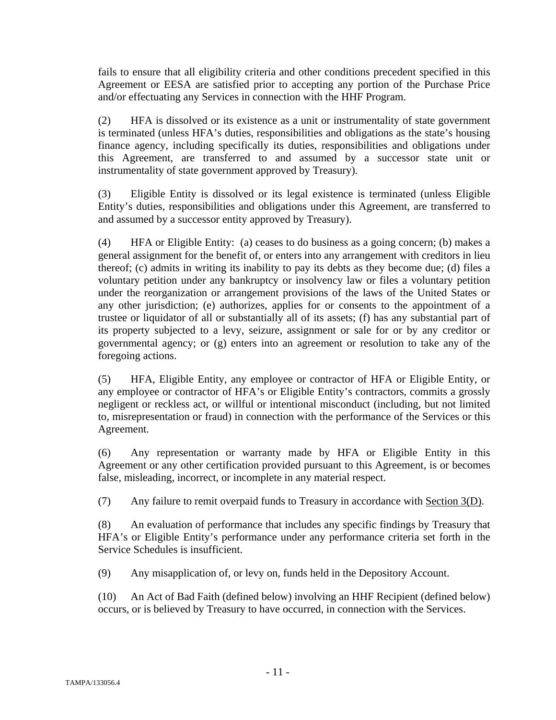fails to ensure that all eligibility criteria and other conditions precedent specified in this Agreement or EESA are satisfied prior to accepting any portion of the Purchase Price and/or effectuating any Services in connection with the HHF Program.

(2) HFA is dissolved or its existence as a unit or instrumentality of state government is terminated (unless HFA's duties, responsibilities and obligations as the state's housing finance agency, including specifically its duties, responsibilities and obligations under this Agreement, are transferred to and assumed by a successor state unit or instrumentality of state government approved by Treasury).

(3) Eligible Entity is dissolved or its legal existence is terminated (unless Eligible Entity's duties, responsibilities and obligations under this Agreement, are transferred to and assumed by a successor entity approved by Treasury).

(4) HFA or Eligible Entity: (a) ceases to do business as a going concern; (b) makes a general assignment for the benefit of, or enters into any arrangement with creditors in lieu thereof; (c) admits in writing its inability to pay its debts as they become due; (d) files a voluntary petition under any bankruptcy or insolvency law or files a voluntary petition under the reorganization or arrangement provisions of the laws of the United States or any other jurisdiction; (e) authorizes, applies for or consents to the appointment of a trustee or liquidator of all or substantially all of its assets; (f) has any substantial part of its property subjected to a levy, seizure, assignment or sale for or by any creditor or governmental agency; or (g) enters into an agreement or resolution to take any of the foregoing actions.

(5) HFA, Eligible Entity, any employee or contractor of HFA or Eligible Entity, or any employee or contractor of HFA's or Eligible Entity's contractors, commits a grossly negligent or reckless act, or willful or intentional misconduct (including, but not limited to, misrepresentation or fraud) in connection with the performance of the Services or this Agreement.

(6) Any representation or warranty made by HFA or Eligible Entity in this Agreement or any other certification provided pursuant to this Agreement, is or becomes false, misleading, incorrect, or incomplete in any material respect.

(7) Any failure to remit overpaid funds to Treasury in accordance with Section 3(D).

(8) An evaluation of performance that includes any specific findings by Treasury that HFA's or Eligible Entity's performance under any performance criteria set forth in the Service Schedules is insufficient.

(9) Any misapplication of, or levy on, funds held in the Depository Account.

(10) An Act of Bad Faith (defined below) involving an HHF Recipient (defined below) occurs, or is believed by Treasury to have occurred, in connection with the Services.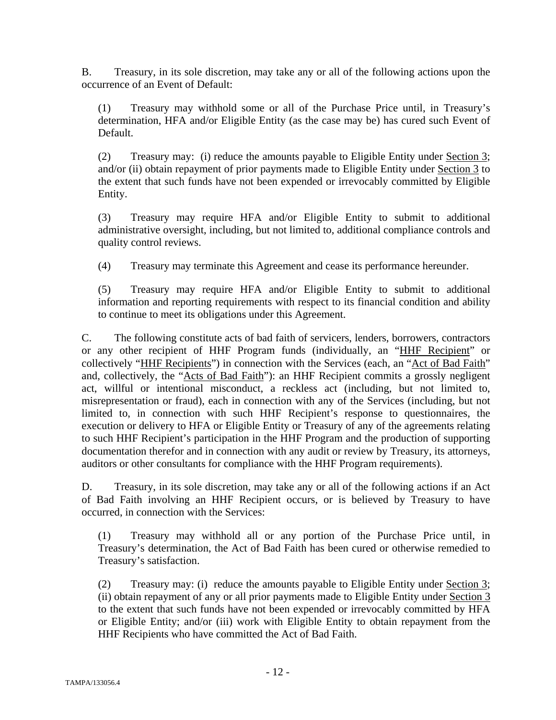B. Treasury, in its sole discretion, may take any or all of the following actions upon the occurrence of an Event of Default:

(1) Treasury may withhold some or all of the Purchase Price until, in Treasury's determination, HFA and/or Eligible Entity (as the case may be) has cured such Event of Default.

(2) Treasury may: (i) reduce the amounts payable to Eligible Entity under Section 3; and/or (ii) obtain repayment of prior payments made to Eligible Entity under Section 3 to the extent that such funds have not been expended or irrevocably committed by Eligible Entity.

(3) Treasury may require HFA and/or Eligible Entity to submit to additional administrative oversight, including, but not limited to, additional compliance controls and quality control reviews.

(4) Treasury may terminate this Agreement and cease its performance hereunder.

(5) Treasury may require HFA and/or Eligible Entity to submit to additional information and reporting requirements with respect to its financial condition and ability to continue to meet its obligations under this Agreement.

C. The following constitute acts of bad faith of servicers, lenders, borrowers, contractors or any other recipient of HHF Program funds (individually, an "HHF Recipient" or collectively "HHF Recipients") in connection with the Services (each, an "Act of Bad Faith" and, collectively, the "Acts of Bad Faith"): an HHF Recipient commits a grossly negligent act, willful or intentional misconduct, a reckless act (including, but not limited to, misrepresentation or fraud), each in connection with any of the Services (including, but not limited to, in connection with such HHF Recipient's response to questionnaires, the execution or delivery to HFA or Eligible Entity or Treasury of any of the agreements relating to such HHF Recipient's participation in the HHF Program and the production of supporting documentation therefor and in connection with any audit or review by Treasury, its attorneys, auditors or other consultants for compliance with the HHF Program requirements).

D. Treasury, in its sole discretion, may take any or all of the following actions if an Act of Bad Faith involving an HHF Recipient occurs, or is believed by Treasury to have occurred, in connection with the Services:

(1) Treasury may withhold all or any portion of the Purchase Price until, in Treasury's determination, the Act of Bad Faith has been cured or otherwise remedied to Treasury's satisfaction.

(2) Treasury may: (i) reduce the amounts payable to Eligible Entity under Section 3; (ii) obtain repayment of any or all prior payments made to Eligible Entity under Section 3 to the extent that such funds have not been expended or irrevocably committed by HFA or Eligible Entity; and/or (iii) work with Eligible Entity to obtain repayment from the HHF Recipients who have committed the Act of Bad Faith.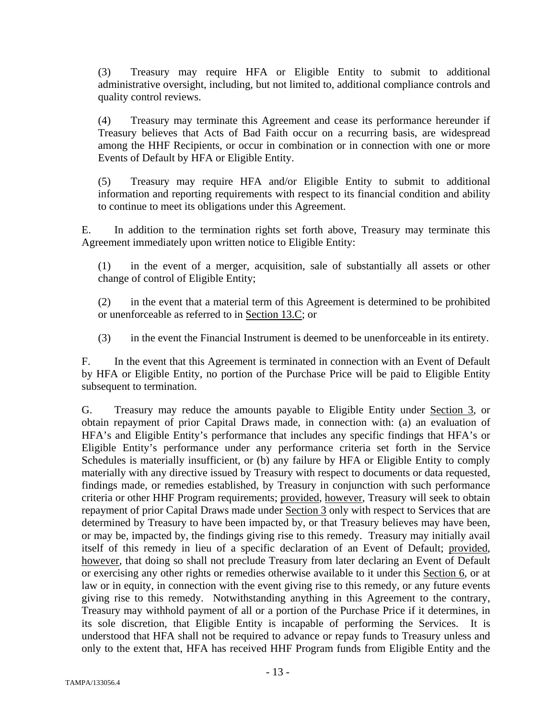(3) Treasury may require HFA or Eligible Entity to submit to additional administrative oversight, including, but not limited to, additional compliance controls and quality control reviews.

(4) Treasury may terminate this Agreement and cease its performance hereunder if Treasury believes that Acts of Bad Faith occur on a recurring basis, are widespread among the HHF Recipients, or occur in combination or in connection with one or more Events of Default by HFA or Eligible Entity.

(5) Treasury may require HFA and/or Eligible Entity to submit to additional information and reporting requirements with respect to its financial condition and ability to continue to meet its obligations under this Agreement.

E. In addition to the termination rights set forth above, Treasury may terminate this Agreement immediately upon written notice to Eligible Entity:

(1) in the event of a merger, acquisition, sale of substantially all assets or other change of control of Eligible Entity;

(2) in the event that a material term of this Agreement is determined to be prohibited or unenforceable as referred to in Section 13.C; or

(3) in the event the Financial Instrument is deemed to be unenforceable in its entirety.

F. In the event that this Agreement is terminated in connection with an Event of Default by HFA or Eligible Entity, no portion of the Purchase Price will be paid to Eligible Entity subsequent to termination.

G. Treasury may reduce the amounts payable to Eligible Entity under Section 3, or obtain repayment of prior Capital Draws made, in connection with: (a) an evaluation of HFA's and Eligible Entity's performance that includes any specific findings that HFA's or Eligible Entity's performance under any performance criteria set forth in the Service Schedules is materially insufficient, or (b) any failure by HFA or Eligible Entity to comply materially with any directive issued by Treasury with respect to documents or data requested, findings made, or remedies established, by Treasury in conjunction with such performance criteria or other HHF Program requirements; provided, however, Treasury will seek to obtain repayment of prior Capital Draws made under Section 3 only with respect to Services that are determined by Treasury to have been impacted by, or that Treasury believes may have been, or may be, impacted by, the findings giving rise to this remedy. Treasury may initially avail itself of this remedy in lieu of a specific declaration of an Event of Default; provided, however, that doing so shall not preclude Treasury from later declaring an Event of Default or exercising any other rights or remedies otherwise available to it under this Section 6, or at law or in equity, in connection with the event giving rise to this remedy, or any future events giving rise to this remedy. Notwithstanding anything in this Agreement to the contrary, Treasury may withhold payment of all or a portion of the Purchase Price if it determines, in its sole discretion, that Eligible Entity is incapable of performing the Services. It is understood that HFA shall not be required to advance or repay funds to Treasury unless and only to the extent that, HFA has received HHF Program funds from Eligible Entity and the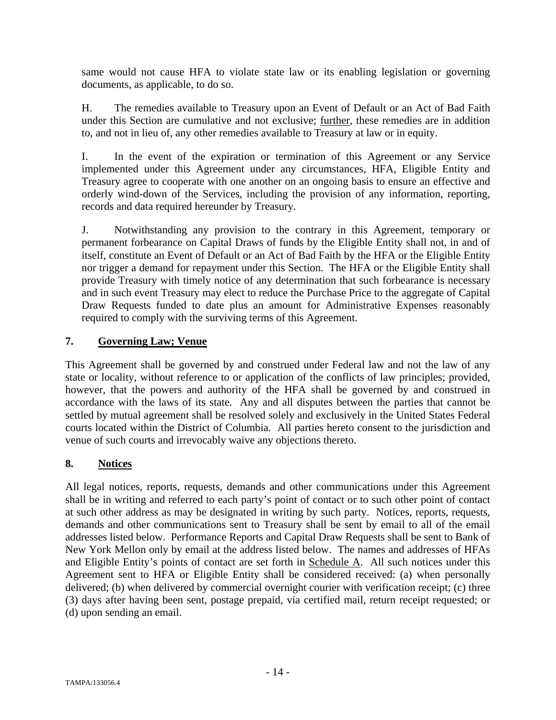same would not cause HFA to violate state law or its enabling legislation or governing documents, as applicable, to do so.

H. The remedies available to Treasury upon an Event of Default or an Act of Bad Faith under this Section are cumulative and not exclusive; further, these remedies are in addition to, and not in lieu of, any other remedies available to Treasury at law or in equity.

I. In the event of the expiration or termination of this Agreement or any Service implemented under this Agreement under any circumstances, HFA, Eligible Entity and Treasury agree to cooperate with one another on an ongoing basis to ensure an effective and orderly wind-down of the Services, including the provision of any information, reporting, records and data required hereunder by Treasury.

J. Notwithstanding any provision to the contrary in this Agreement, temporary or permanent forbearance on Capital Draws of funds by the Eligible Entity shall not, in and of itself, constitute an Event of Default or an Act of Bad Faith by the HFA or the Eligible Entity nor trigger a demand for repayment under this Section. The HFA or the Eligible Entity shall provide Treasury with timely notice of any determination that such forbearance is necessary and in such event Treasury may elect to reduce the Purchase Price to the aggregate of Capital Draw Requests funded to date plus an amount for Administrative Expenses reasonably required to comply with the surviving terms of this Agreement.

## **7. Governing Law; Venue**

This Agreement shall be governed by and construed under Federal law and not the law of any state or locality, without reference to or application of the conflicts of law principles; provided, however, that the powers and authority of the HFA shall be governed by and construed in accordance with the laws of its state. Any and all disputes between the parties that cannot be settled by mutual agreement shall be resolved solely and exclusively in the United States Federal courts located within the District of Columbia. All parties hereto consent to the jurisdiction and venue of such courts and irrevocably waive any objections thereto.

# **8. Notices**

All legal notices, reports, requests, demands and other communications under this Agreement shall be in writing and referred to each party's point of contact or to such other point of contact at such other address as may be designated in writing by such party. Notices, reports, requests, demands and other communications sent to Treasury shall be sent by email to all of the email addresses listed below. Performance Reports and Capital Draw Requests shall be sent to Bank of New York Mellon only by email at the address listed below. The names and addresses of HFAs and Eligible Entity's points of contact are set forth in Schedule A. All such notices under this Agreement sent to HFA or Eligible Entity shall be considered received: (a) when personally delivered; (b) when delivered by commercial overnight courier with verification receipt; (c) three (3) days after having been sent, postage prepaid, via certified mail, return receipt requested; or (d) upon sending an email.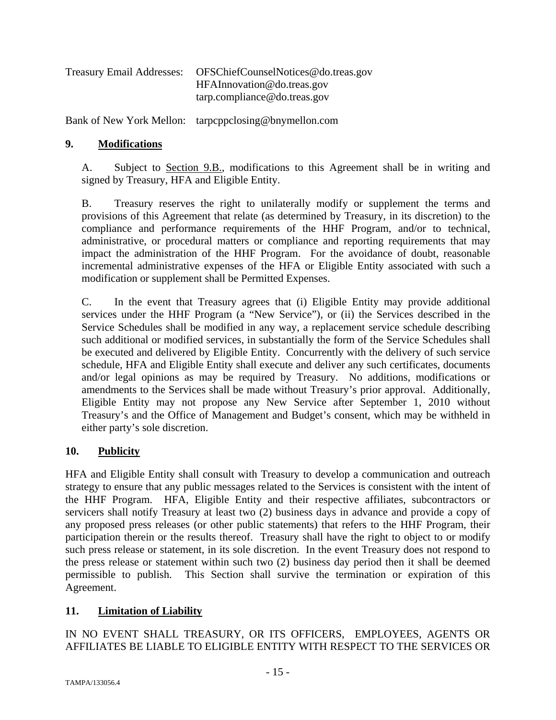| OFSChiefCounselNotices@do.treas.gov |
|-------------------------------------|
| HFAInnovation@do.treas.gov          |
| tarp.compline@do.treas.gov          |
|                                     |

Bank of New York Mellon: tarpcppclosing@bnymellon.com

#### **9. Modifications**

A. Subject to Section 9.B., modifications to this Agreement shall be in writing and signed by Treasury, HFA and Eligible Entity.

B. Treasury reserves the right to unilaterally modify or supplement the terms and provisions of this Agreement that relate (as determined by Treasury, in its discretion) to the compliance and performance requirements of the HHF Program, and/or to technical, administrative, or procedural matters or compliance and reporting requirements that may impact the administration of the HHF Program. For the avoidance of doubt, reasonable incremental administrative expenses of the HFA or Eligible Entity associated with such a modification or supplement shall be Permitted Expenses.

C. In the event that Treasury agrees that (i) Eligible Entity may provide additional services under the HHF Program (a "New Service"), or (ii) the Services described in the Service Schedules shall be modified in any way, a replacement service schedule describing such additional or modified services, in substantially the form of the Service Schedules shall be executed and delivered by Eligible Entity. Concurrently with the delivery of such service schedule, HFA and Eligible Entity shall execute and deliver any such certificates, documents and/or legal opinions as may be required by Treasury. No additions, modifications or amendments to the Services shall be made without Treasury's prior approval. Additionally, Eligible Entity may not propose any New Service after September 1, 2010 without Treasury's and the Office of Management and Budget's consent, which may be withheld in either party's sole discretion.

## **10. Publicity**

HFA and Eligible Entity shall consult with Treasury to develop a communication and outreach strategy to ensure that any public messages related to the Services is consistent with the intent of the HHF Program. HFA, Eligible Entity and their respective affiliates, subcontractors or servicers shall notify Treasury at least two (2) business days in advance and provide a copy of any proposed press releases (or other public statements) that refers to the HHF Program, their participation therein or the results thereof. Treasury shall have the right to object to or modify such press release or statement, in its sole discretion. In the event Treasury does not respond to the press release or statement within such two (2) business day period then it shall be deemed permissible to publish. This Section shall survive the termination or expiration of this Agreement.

## **11. Limitation of Liability**

IN NO EVENT SHALL TREASURY, OR ITS OFFICERS, EMPLOYEES, AGENTS OR AFFILIATES BE LIABLE TO ELIGIBLE ENTITY WITH RESPECT TO THE SERVICES OR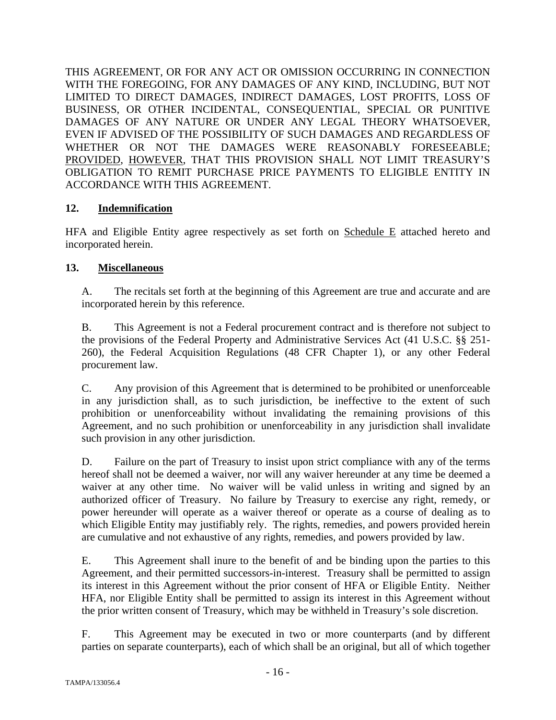THIS AGREEMENT, OR FOR ANY ACT OR OMISSION OCCURRING IN CONNECTION WITH THE FOREGOING, FOR ANY DAMAGES OF ANY KIND, INCLUDING, BUT NOT LIMITED TO DIRECT DAMAGES, INDIRECT DAMAGES, LOST PROFITS, LOSS OF BUSINESS, OR OTHER INCIDENTAL, CONSEQUENTIAL, SPECIAL OR PUNITIVE DAMAGES OF ANY NATURE OR UNDER ANY LEGAL THEORY WHATSOEVER, EVEN IF ADVISED OF THE POSSIBILITY OF SUCH DAMAGES AND REGARDLESS OF WHETHER OR NOT THE DAMAGES WERE REASONABLY FORESEEABLE; PROVIDED, HOWEVER, THAT THIS PROVISION SHALL NOT LIMIT TREASURY'S OBLIGATION TO REMIT PURCHASE PRICE PAYMENTS TO ELIGIBLE ENTITY IN ACCORDANCE WITH THIS AGREEMENT.

## **12. Indemnification**

HFA and Eligible Entity agree respectively as set forth on Schedule E attached hereto and incorporated herein.

# **13. Miscellaneous**

A. The recitals set forth at the beginning of this Agreement are true and accurate and are incorporated herein by this reference.

B. This Agreement is not a Federal procurement contract and is therefore not subject to the provisions of the Federal Property and Administrative Services Act (41 U.S.C. §§ 251- 260), the Federal Acquisition Regulations (48 CFR Chapter 1), or any other Federal procurement law.

C. Any provision of this Agreement that is determined to be prohibited or unenforceable in any jurisdiction shall, as to such jurisdiction, be ineffective to the extent of such prohibition or unenforceability without invalidating the remaining provisions of this Agreement, and no such prohibition or unenforceability in any jurisdiction shall invalidate such provision in any other jurisdiction.

D. Failure on the part of Treasury to insist upon strict compliance with any of the terms hereof shall not be deemed a waiver, nor will any waiver hereunder at any time be deemed a waiver at any other time. No waiver will be valid unless in writing and signed by an authorized officer of Treasury. No failure by Treasury to exercise any right, remedy, or power hereunder will operate as a waiver thereof or operate as a course of dealing as to which Eligible Entity may justifiably rely. The rights, remedies, and powers provided herein are cumulative and not exhaustive of any rights, remedies, and powers provided by law.

E. This Agreement shall inure to the benefit of and be binding upon the parties to this Agreement, and their permitted successors-in-interest. Treasury shall be permitted to assign its interest in this Agreement without the prior consent of HFA or Eligible Entity. Neither HFA, nor Eligible Entity shall be permitted to assign its interest in this Agreement without the prior written consent of Treasury, which may be withheld in Treasury's sole discretion.

F. This Agreement may be executed in two or more counterparts (and by different parties on separate counterparts), each of which shall be an original, but all of which together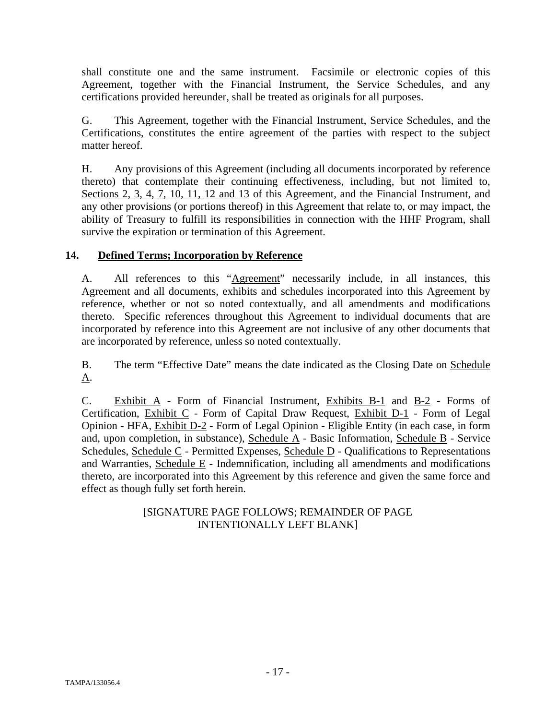shall constitute one and the same instrument. Facsimile or electronic copies of this Agreement, together with the Financial Instrument, the Service Schedules, and any certifications provided hereunder, shall be treated as originals for all purposes.

G. This Agreement, together with the Financial Instrument, Service Schedules, and the Certifications, constitutes the entire agreement of the parties with respect to the subject matter hereof.

H. Any provisions of this Agreement (including all documents incorporated by reference thereto) that contemplate their continuing effectiveness, including, but not limited to, Sections 2, 3, 4, 7, 10, 11, 12 and 13 of this Agreement, and the Financial Instrument, and any other provisions (or portions thereof) in this Agreement that relate to, or may impact, the ability of Treasury to fulfill its responsibilities in connection with the HHF Program, shall survive the expiration or termination of this Agreement.

# **14. Defined Terms; Incorporation by Reference**

A. All references to this "Agreement" necessarily include, in all instances, this Agreement and all documents, exhibits and schedules incorporated into this Agreement by reference, whether or not so noted contextually, and all amendments and modifications thereto. Specific references throughout this Agreement to individual documents that are incorporated by reference into this Agreement are not inclusive of any other documents that are incorporated by reference, unless so noted contextually.

B. The term "Effective Date" means the date indicated as the Closing Date on Schedule A.

C. Exhibit A - Form of Financial Instrument, Exhibits B-1 and B-2 - Forms of Certification, Exhibit C - Form of Capital Draw Request, Exhibit D-1 - Form of Legal Opinion - HFA, Exhibit D-2 - Form of Legal Opinion - Eligible Entity (in each case, in form and, upon completion, in substance), Schedule A - Basic Information, Schedule B - Service Schedules, Schedule C - Permitted Expenses, Schedule D - Qualifications to Representations and Warranties, Schedule E - Indemnification, including all amendments and modifications thereto, are incorporated into this Agreement by this reference and given the same force and effect as though fully set forth herein.

# [SIGNATURE PAGE FOLLOWS; REMAINDER OF PAGE INTENTIONALLY LEFT BLANK]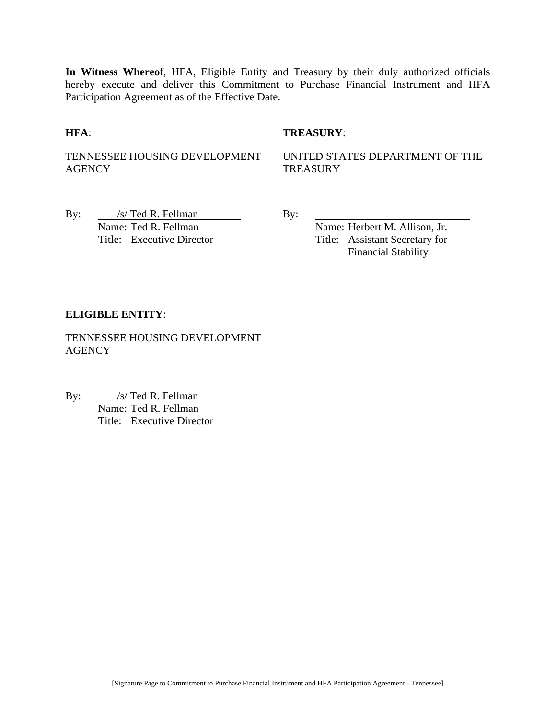**In Witness Whereof**, HFA, Eligible Entity and Treasury by their duly authorized officials hereby execute and deliver this Commitment to Purchase Financial Instrument and HFA Participation Agreement as of the Effective Date.

**HFA**: **TREASURY**:

TENNESSEE HOUSING DEVELOPMENT AGENCY

UNITED STATES DEPARTMENT OF THE **TREASURY** 

By:  $\frac{\sqrt{s}}{\sqrt{6}}$  / S/ Ted R. Fellman By: Name: Ted R. Fellman Name: Herbert M. Allison, Jr.

Title: Executive Director Title: Assistant Secretary for Financial Stability

#### **ELIGIBLE ENTITY**:

TENNESSEE HOUSING DEVELOPMENT **AGENCY** 

By: /s/ Ted R. Fellman <u>S/ Ted R. Fellman</u><br>Name: Ted R. Fellman Title: Executive Director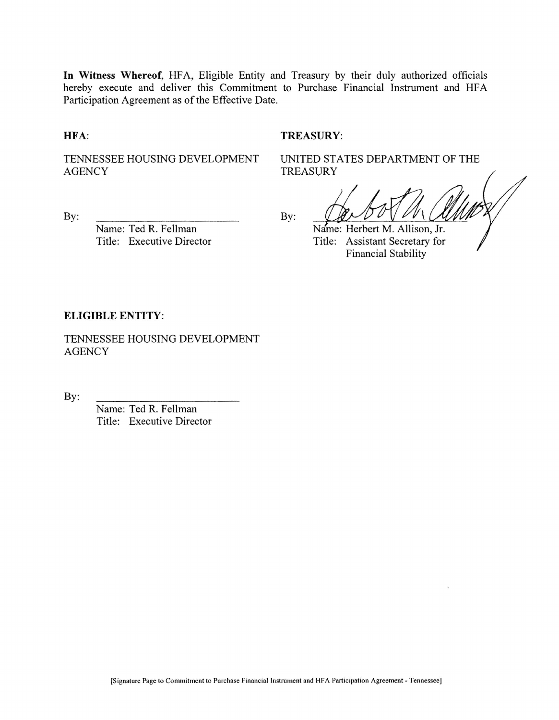In Witness Whereof, HFA, Eligible Entity and Treasury by their duly authorized officials hereby execute and deliver this Commitment to Purchase Financial Instrument and HFA Participation Agreement as of the Effective Date.

#### HFA:

#### **TREASURY:**

TENNESSEE HOUSING DEVELOPMENT **AGENCY** 

**TREASURY** By:

By:

Name: Ted R. Fellman Title: Executive Director Name: Herbert M. Allison, Jr. Title: Assistant Secretary for **Financial Stability** 

UNITED STATES DEPARTMENT OF THE

#### **ELIGIBLE ENTITY:**

TENNESSEE HOUSING DEVELOPMENT **AGENCY** 

By:

Name: Ted R. Fellman Title: Executive Director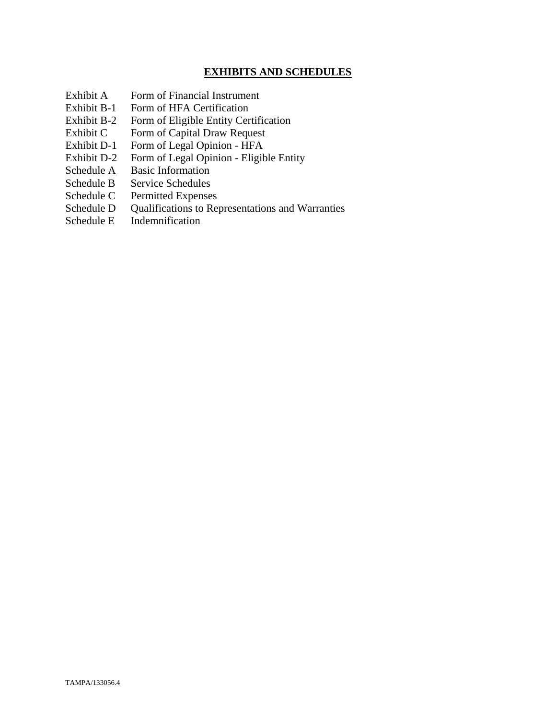## **EXHIBITS AND SCHEDULES**

- Exhibit A Form of Financial Instrument
- Exhibit B-1 Form of HFA Certification
- Exhibit B-2 Form of Eligible Entity Certification
- Exhibit C Form of Capital Draw Request
- Exhibit D-1 Form of Legal Opinion HFA
- Exhibit D-2 Form of Legal Opinion Eligible Entity
- Schedule A Basic Information
- Schedule B Service Schedules
- Schedule C Permitted Expenses
- Schedule D Qualifications to Representations and Warranties
- Schedule E Indemnification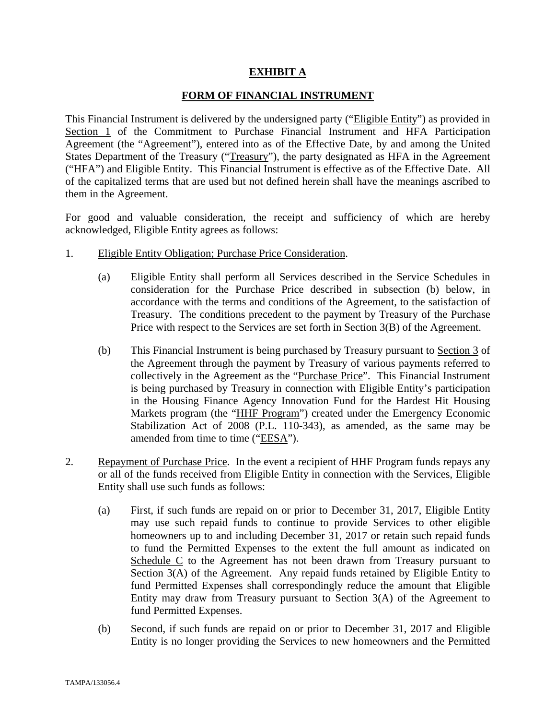#### **EXHIBIT A**

#### **FORM OF FINANCIAL INSTRUMENT**

This Financial Instrument is delivered by the undersigned party ("Eligible Entity") as provided in Section 1 of the Commitment to Purchase Financial Instrument and HFA Participation Agreement (the "Agreement"), entered into as of the Effective Date, by and among the United States Department of the Treasury ("Treasury"), the party designated as HFA in the Agreement ("HFA") and Eligible Entity. This Financial Instrument is effective as of the Effective Date. All of the capitalized terms that are used but not defined herein shall have the meanings ascribed to them in the Agreement.

For good and valuable consideration, the receipt and sufficiency of which are hereby acknowledged, Eligible Entity agrees as follows:

- 1. Eligible Entity Obligation; Purchase Price Consideration.
	- (a) Eligible Entity shall perform all Services described in the Service Schedules in consideration for the Purchase Price described in subsection (b) below, in accordance with the terms and conditions of the Agreement, to the satisfaction of Treasury. The conditions precedent to the payment by Treasury of the Purchase Price with respect to the Services are set forth in Section 3(B) of the Agreement.
	- (b) This Financial Instrument is being purchased by Treasury pursuant to Section 3 of the Agreement through the payment by Treasury of various payments referred to collectively in the Agreement as the "Purchase Price". This Financial Instrument is being purchased by Treasury in connection with Eligible Entity's participation in the Housing Finance Agency Innovation Fund for the Hardest Hit Housing Markets program (the "HHF Program") created under the Emergency Economic Stabilization Act of 2008 (P.L. 110-343), as amended, as the same may be amended from time to time ("EESA").
- 2. Repayment of Purchase Price. In the event a recipient of HHF Program funds repays any or all of the funds received from Eligible Entity in connection with the Services, Eligible Entity shall use such funds as follows:
	- (a) First, if such funds are repaid on or prior to December 31, 2017, Eligible Entity may use such repaid funds to continue to provide Services to other eligible homeowners up to and including December 31, 2017 or retain such repaid funds to fund the Permitted Expenses to the extent the full amount as indicated on Schedule C to the Agreement has not been drawn from Treasury pursuant to Section 3(A) of the Agreement. Any repaid funds retained by Eligible Entity to fund Permitted Expenses shall correspondingly reduce the amount that Eligible Entity may draw from Treasury pursuant to Section 3(A) of the Agreement to fund Permitted Expenses.
	- (b) Second, if such funds are repaid on or prior to December 31, 2017 and Eligible Entity is no longer providing the Services to new homeowners and the Permitted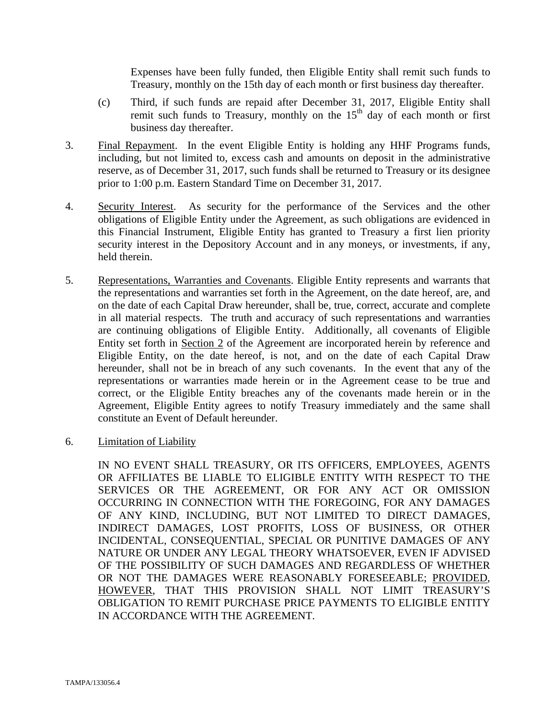Expenses have been fully funded, then Eligible Entity shall remit such funds to Treasury, monthly on the 15th day of each month or first business day thereafter.

- (c) Third, if such funds are repaid after December 31, 2017, Eligible Entity shall remit such funds to Treasury, monthly on the  $15<sup>th</sup>$  day of each month or first business day thereafter.
- 3. Final Repayment. In the event Eligible Entity is holding any HHF Programs funds, including, but not limited to, excess cash and amounts on deposit in the administrative reserve, as of December 31, 2017, such funds shall be returned to Treasury or its designee prior to 1:00 p.m. Eastern Standard Time on December 31, 2017.
- 4. Security Interest. As security for the performance of the Services and the other obligations of Eligible Entity under the Agreement, as such obligations are evidenced in this Financial Instrument, Eligible Entity has granted to Treasury a first lien priority security interest in the Depository Account and in any moneys, or investments, if any, held therein.
- 5. Representations, Warranties and Covenants. Eligible Entity represents and warrants that the representations and warranties set forth in the Agreement, on the date hereof, are, and on the date of each Capital Draw hereunder, shall be, true, correct, accurate and complete in all material respects. The truth and accuracy of such representations and warranties are continuing obligations of Eligible Entity. Additionally, all covenants of Eligible Entity set forth in Section 2 of the Agreement are incorporated herein by reference and Eligible Entity, on the date hereof, is not, and on the date of each Capital Draw hereunder, shall not be in breach of any such covenants. In the event that any of the representations or warranties made herein or in the Agreement cease to be true and correct, or the Eligible Entity breaches any of the covenants made herein or in the Agreement, Eligible Entity agrees to notify Treasury immediately and the same shall constitute an Event of Default hereunder.
- 6. Limitation of Liability

IN NO EVENT SHALL TREASURY, OR ITS OFFICERS, EMPLOYEES, AGENTS OR AFFILIATES BE LIABLE TO ELIGIBLE ENTITY WITH RESPECT TO THE SERVICES OR THE AGREEMENT, OR FOR ANY ACT OR OMISSION OCCURRING IN CONNECTION WITH THE FOREGOING, FOR ANY DAMAGES OF ANY KIND, INCLUDING, BUT NOT LIMITED TO DIRECT DAMAGES, INDIRECT DAMAGES, LOST PROFITS, LOSS OF BUSINESS, OR OTHER INCIDENTAL, CONSEQUENTIAL, SPECIAL OR PUNITIVE DAMAGES OF ANY NATURE OR UNDER ANY LEGAL THEORY WHATSOEVER, EVEN IF ADVISED OF THE POSSIBILITY OF SUCH DAMAGES AND REGARDLESS OF WHETHER OR NOT THE DAMAGES WERE REASONABLY FORESEEABLE; PROVIDED, HOWEVER, THAT THIS PROVISION SHALL NOT LIMIT TREASURY'S OBLIGATION TO REMIT PURCHASE PRICE PAYMENTS TO ELIGIBLE ENTITY IN ACCORDANCE WITH THE AGREEMENT.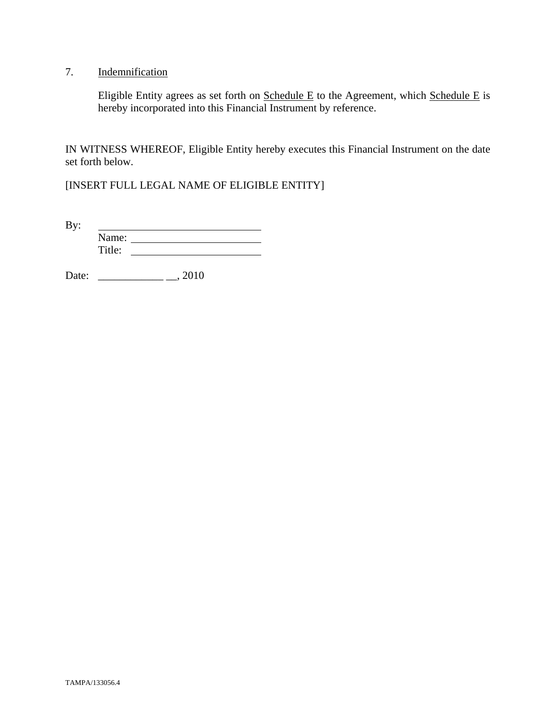# 7. Indemnification

Eligible Entity agrees as set forth on  $S$ chedule E to the Agreement, which  $S$ chedule E is hereby incorporated into this Financial Instrument by reference.

IN WITNESS WHEREOF, Eligible Entity hereby executes this Financial Instrument on the date set forth below.

[INSERT FULL LEGAL NAME OF ELIGIBLE ENTITY]

By: <u> 1989 - Johann Barbara, martin a</u> Name: Title:

Date: \_\_\_\_\_\_\_\_\_\_\_\_ \_\_, 2010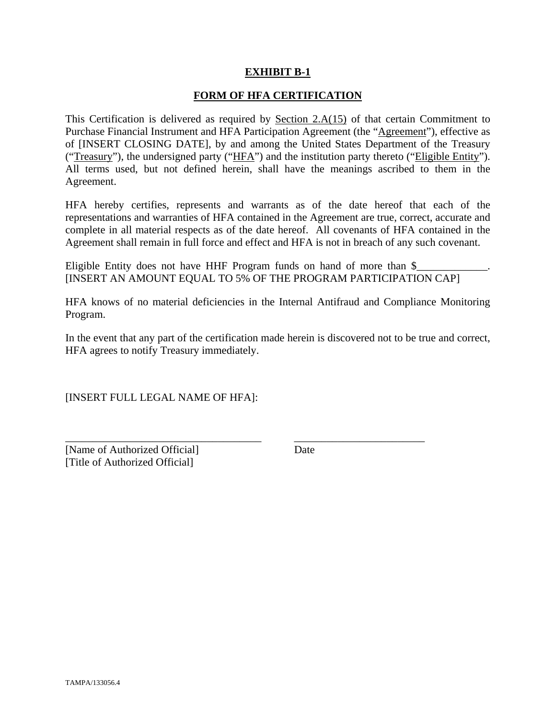#### **EXHIBIT B-1**

#### **FORM OF HFA CERTIFICATION**

This Certification is delivered as required by Section  $2.A(15)$  of that certain Commitment to Purchase Financial Instrument and HFA Participation Agreement (the "Agreement"), effective as of [INSERT CLOSING DATE], by and among the United States Department of the Treasury ("Treasury"), the undersigned party ("HFA") and the institution party thereto ("Eligible Entity"). All terms used, but not defined herein, shall have the meanings ascribed to them in the Agreement.

HFA hereby certifies, represents and warrants as of the date hereof that each of the representations and warranties of HFA contained in the Agreement are true, correct, accurate and complete in all material respects as of the date hereof. All covenants of HFA contained in the Agreement shall remain in full force and effect and HFA is not in breach of any such covenant.

Eligible Entity does not have HHF Program funds on hand of more than  $\frac{1}{2}$ [INSERT AN AMOUNT EQUAL TO 5% OF THE PROGRAM PARTICIPATION CAP]

HFA knows of no material deficiencies in the Internal Antifraud and Compliance Monitoring Program.

In the event that any part of the certification made herein is discovered not to be true and correct, HFA agrees to notify Treasury immediately.

\_\_\_\_\_\_\_\_\_\_\_\_\_\_\_\_\_\_\_\_\_\_\_\_\_\_\_\_\_\_\_\_\_\_\_\_ \_\_\_\_\_\_\_\_\_\_\_\_\_\_\_\_\_\_\_\_\_\_\_\_

[INSERT FULL LEGAL NAME OF HFA]:

[Name of Authorized Official] Date [Title of Authorized Official]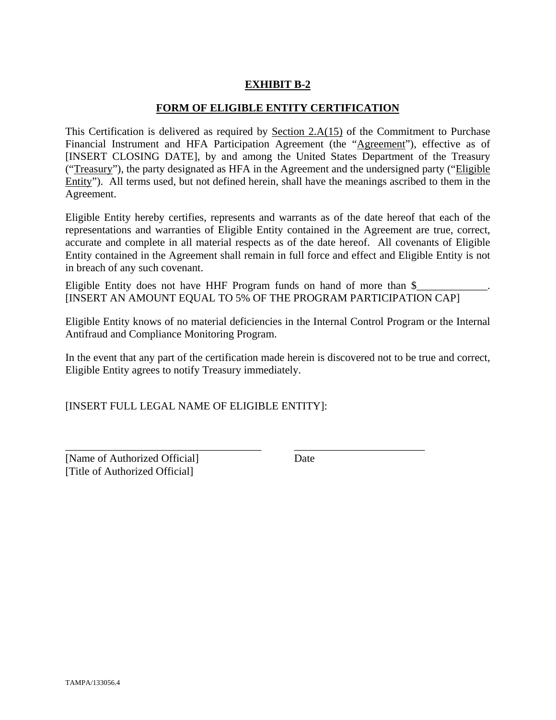# **EXHIBIT B-2**

#### **FORM OF ELIGIBLE ENTITY CERTIFICATION**

This Certification is delivered as required by Section 2.A(15) of the Commitment to Purchase Financial Instrument and HFA Participation Agreement (the "Agreement"), effective as of [INSERT CLOSING DATE], by and among the United States Department of the Treasury ("Treasury"), the party designated as HFA in the Agreement and the undersigned party ("Eligible Entity"). All terms used, but not defined herein, shall have the meanings ascribed to them in the Agreement.

Eligible Entity hereby certifies, represents and warrants as of the date hereof that each of the representations and warranties of Eligible Entity contained in the Agreement are true, correct, accurate and complete in all material respects as of the date hereof. All covenants of Eligible Entity contained in the Agreement shall remain in full force and effect and Eligible Entity is not in breach of any such covenant.

Eligible Entity does not have HHF Program funds on hand of more than  $\$ [INSERT AN AMOUNT EQUAL TO 5% OF THE PROGRAM PARTICIPATION CAP]

Eligible Entity knows of no material deficiencies in the Internal Control Program or the Internal Antifraud and Compliance Monitoring Program.

In the event that any part of the certification made herein is discovered not to be true and correct, Eligible Entity agrees to notify Treasury immediately.

\_\_\_\_\_\_\_\_\_\_\_\_\_\_\_\_\_\_\_\_\_\_\_\_\_\_\_\_\_\_\_\_\_\_\_\_ \_\_\_\_\_\_\_\_\_\_\_\_\_\_\_\_\_\_\_\_\_\_\_\_

[INSERT FULL LEGAL NAME OF ELIGIBLE ENTITY]:

[Name of Authorized Official] Date [Title of Authorized Official]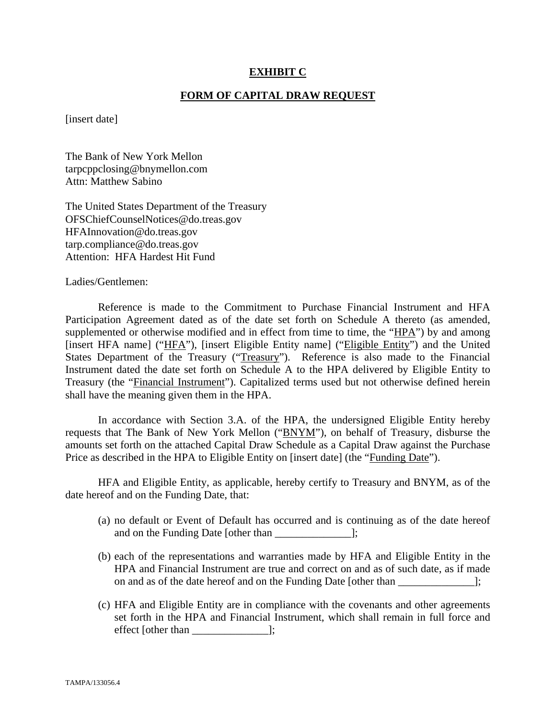#### **EXHIBIT C**

#### **FORM OF CAPITAL DRAW REQUEST**

[insert date]

The Bank of New York Mellon tarpcppclosing@bnymellon.com Attn: Matthew Sabino

The United States Department of the Treasury OFSChiefCounselNotices@do.treas.gov HFAInnovation@do.treas.gov tarp.compliance@do.treas.gov Attention: HFA Hardest Hit Fund

Ladies/Gentlemen:

 Reference is made to the Commitment to Purchase Financial Instrument and HFA Participation Agreement dated as of the date set forth on Schedule A thereto (as amended, supplemented or otherwise modified and in effect from time to time, the "HPA") by and among [insert HFA name] ("HFA"), [insert Eligible Entity name] ("Eligible Entity") and the United States Department of the Treasury ("Treasury"). Reference is also made to the Financial Instrument dated the date set forth on Schedule A to the HPA delivered by Eligible Entity to Treasury (the "Financial Instrument"). Capitalized terms used but not otherwise defined herein shall have the meaning given them in the HPA.

 In accordance with Section 3.A. of the HPA, the undersigned Eligible Entity hereby requests that The Bank of New York Mellon ("BNYM"), on behalf of Treasury, disburse the amounts set forth on the attached Capital Draw Schedule as a Capital Draw against the Purchase Price as described in the HPA to Eligible Entity on [insert date] (the "Funding Date").

 HFA and Eligible Entity, as applicable, hereby certify to Treasury and BNYM, as of the date hereof and on the Funding Date, that:

- (a) no default or Event of Default has occurred and is continuing as of the date hereof and on the Funding Date [other than  $\Box$ ];
- (b) each of the representations and warranties made by HFA and Eligible Entity in the HPA and Financial Instrument are true and correct on and as of such date, as if made on and as of the date hereof and on the Funding Date [other than ];
- (c) HFA and Eligible Entity are in compliance with the covenants and other agreements set forth in the HPA and Financial Instrument, which shall remain in full force and effect [other than \_\_\_\_\_\_\_\_\_\_\_\_\_\_];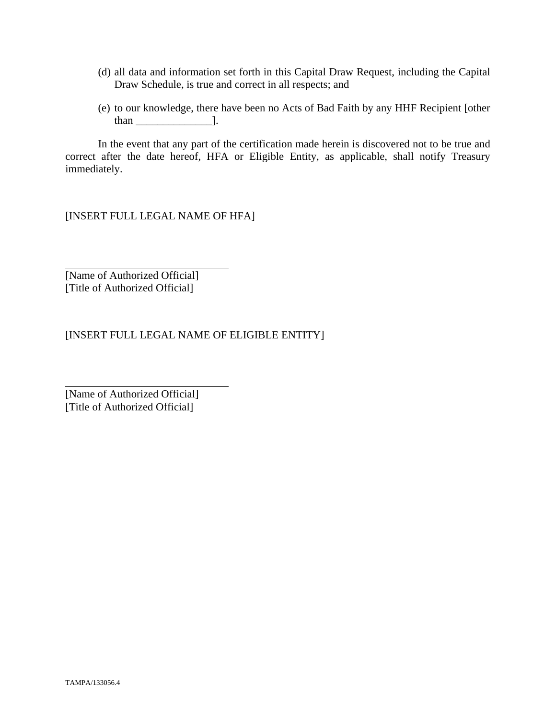- (d) all data and information set forth in this Capital Draw Request, including the Capital Draw Schedule, is true and correct in all respects; and
- (e) to our knowledge, there have been no Acts of Bad Faith by any HHF Recipient [other than  $\qquad$  ].

 In the event that any part of the certification made herein is discovered not to be true and correct after the date hereof, HFA or Eligible Entity, as applicable, shall notify Treasury immediately.

[INSERT FULL LEGAL NAME OF HFA]

[Name of Authorized Official] [Title of Authorized Official]

 $\overline{a}$ 

l

[INSERT FULL LEGAL NAME OF ELIGIBLE ENTITY]

[Name of Authorized Official] [Title of Authorized Official]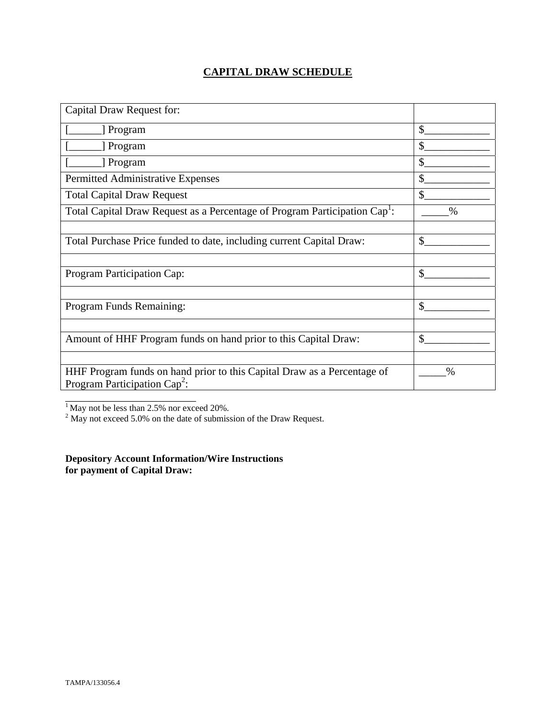# **CAPITAL DRAW SCHEDULE**

| Capital Draw Request for:                                                                                  |               |
|------------------------------------------------------------------------------------------------------------|---------------|
| [ Program                                                                                                  | \$            |
| [ Program                                                                                                  | \$            |
| Program                                                                                                    | \$            |
| Permitted Administrative Expenses                                                                          | \$            |
| <b>Total Capital Draw Request</b>                                                                          | $\mathbb{S}$  |
| Total Capital Draw Request as a Percentage of Program Participation Cap <sup>1</sup> :                     | $\frac{0}{0}$ |
|                                                                                                            |               |
| Total Purchase Price funded to date, including current Capital Draw:                                       | \$            |
|                                                                                                            |               |
| Program Participation Cap:                                                                                 | \$            |
|                                                                                                            |               |
| Program Funds Remaining:                                                                                   | $\mathcal{S}$ |
|                                                                                                            |               |
| Amount of HHF Program funds on hand prior to this Capital Draw:                                            | \$            |
|                                                                                                            |               |
| HHF Program funds on hand prior to this Capital Draw as a Percentage of<br>Program Participation $Cap^2$ : | $\%$          |
|                                                                                                            |               |

<sup>1</sup> May not be less than 2.5% nor exceed 20%.<br><sup>2</sup> May not exceed 5.0% on the date of submission of the Draw Request.

**Depository Account Information/Wire Instructions for payment of Capital Draw:**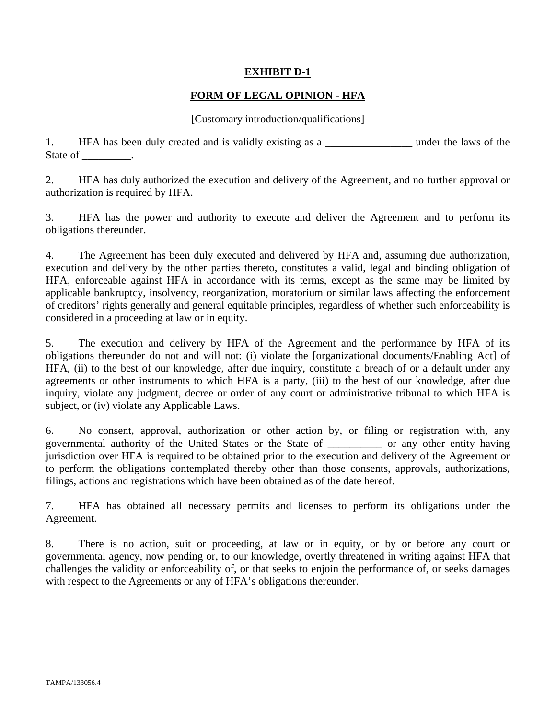## **EXHIBIT D-1**

## **FORM OF LEGAL OPINION - HFA**

#### [Customary introduction/qualifications]

1. HFA has been duly created and is validly existing as a \_\_\_\_\_\_\_\_\_\_\_\_\_\_\_\_\_\_\_\_ under the laws of the State of \_\_\_\_\_\_\_\_\_.

2. HFA has duly authorized the execution and delivery of the Agreement, and no further approval or authorization is required by HFA.

3. HFA has the power and authority to execute and deliver the Agreement and to perform its obligations thereunder.

4. The Agreement has been duly executed and delivered by HFA and, assuming due authorization, execution and delivery by the other parties thereto, constitutes a valid, legal and binding obligation of HFA, enforceable against HFA in accordance with its terms, except as the same may be limited by applicable bankruptcy, insolvency, reorganization, moratorium or similar laws affecting the enforcement of creditors' rights generally and general equitable principles, regardless of whether such enforceability is considered in a proceeding at law or in equity.

5. The execution and delivery by HFA of the Agreement and the performance by HFA of its obligations thereunder do not and will not: (i) violate the [organizational documents/Enabling Act] of HFA, (ii) to the best of our knowledge, after due inquiry, constitute a breach of or a default under any agreements or other instruments to which HFA is a party, (iii) to the best of our knowledge, after due inquiry, violate any judgment, decree or order of any court or administrative tribunal to which HFA is subject, or (iv) violate any Applicable Laws.

6. No consent, approval, authorization or other action by, or filing or registration with, any governmental authority of the United States or the State of \_\_\_\_\_\_\_\_\_\_ or any other entity having jurisdiction over HFA is required to be obtained prior to the execution and delivery of the Agreement or to perform the obligations contemplated thereby other than those consents, approvals, authorizations, filings, actions and registrations which have been obtained as of the date hereof.

7. HFA has obtained all necessary permits and licenses to perform its obligations under the Agreement.

8. There is no action, suit or proceeding, at law or in equity, or by or before any court or governmental agency, now pending or, to our knowledge, overtly threatened in writing against HFA that challenges the validity or enforceability of, or that seeks to enjoin the performance of, or seeks damages with respect to the Agreements or any of HFA's obligations thereunder.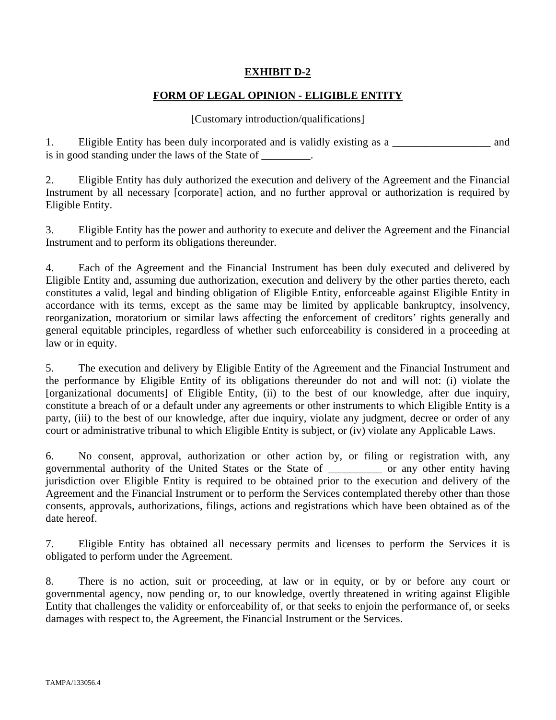# **EXHIBIT D-2**

# **FORM OF LEGAL OPINION - ELIGIBLE ENTITY**

#### [Customary introduction/qualifications]

1. Eligible Entity has been duly incorporated and is validly existing as a \_\_\_\_\_\_\_\_\_\_\_\_\_\_\_\_\_\_ and is in good standing under the laws of the State of \_\_\_\_\_\_\_\_.

2. Eligible Entity has duly authorized the execution and delivery of the Agreement and the Financial Instrument by all necessary [corporate] action, and no further approval or authorization is required by Eligible Entity.

3. Eligible Entity has the power and authority to execute and deliver the Agreement and the Financial Instrument and to perform its obligations thereunder.

4. Each of the Agreement and the Financial Instrument has been duly executed and delivered by Eligible Entity and, assuming due authorization, execution and delivery by the other parties thereto, each constitutes a valid, legal and binding obligation of Eligible Entity, enforceable against Eligible Entity in accordance with its terms, except as the same may be limited by applicable bankruptcy, insolvency, reorganization, moratorium or similar laws affecting the enforcement of creditors' rights generally and general equitable principles, regardless of whether such enforceability is considered in a proceeding at law or in equity.

5. The execution and delivery by Eligible Entity of the Agreement and the Financial Instrument and the performance by Eligible Entity of its obligations thereunder do not and will not: (i) violate the [organizational documents] of Eligible Entity, (ii) to the best of our knowledge, after due inquiry, constitute a breach of or a default under any agreements or other instruments to which Eligible Entity is a party, (iii) to the best of our knowledge, after due inquiry, violate any judgment, decree or order of any court or administrative tribunal to which Eligible Entity is subject, or (iv) violate any Applicable Laws.

6. No consent, approval, authorization or other action by, or filing or registration with, any governmental authority of the United States or the State of \_\_\_\_\_\_\_\_\_\_ or any other entity having jurisdiction over Eligible Entity is required to be obtained prior to the execution and delivery of the Agreement and the Financial Instrument or to perform the Services contemplated thereby other than those consents, approvals, authorizations, filings, actions and registrations which have been obtained as of the date hereof.

7. Eligible Entity has obtained all necessary permits and licenses to perform the Services it is obligated to perform under the Agreement.

8. There is no action, suit or proceeding, at law or in equity, or by or before any court or governmental agency, now pending or, to our knowledge, overtly threatened in writing against Eligible Entity that challenges the validity or enforceability of, or that seeks to enjoin the performance of, or seeks damages with respect to, the Agreement, the Financial Instrument or the Services.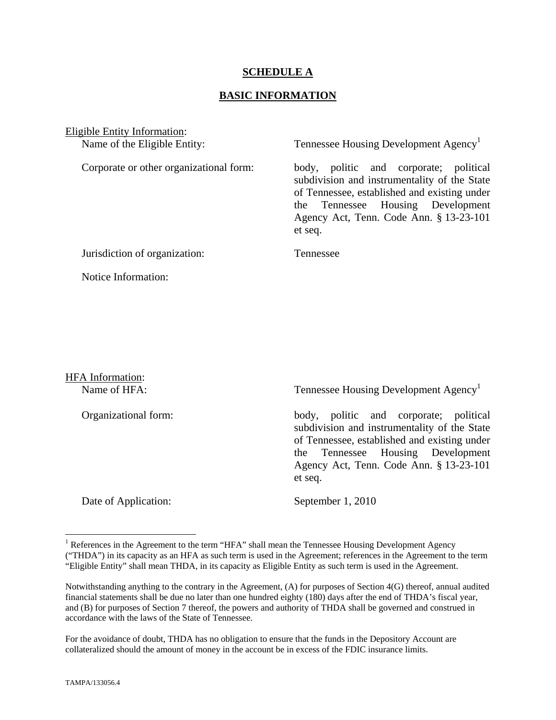#### **SCHEDULE A**

#### **BASIC INFORMATION**

Eligible Entity Information:

Name of the Eligible Entity: Tennessee Housing Development Agency<sup>1</sup>

Corporate or other organizational form: body, politic and corporate; political subdivision and instrumentality of the State of Tennessee, established and existing under the Tennessee Housing Development Agency Act, Tenn. Code Ann. § 13-23-101 et seq.

Jurisdiction of organization: Tennessee

Notice Information:

HFA Information:

Name of HFA: Tennessee Housing Development Agency<sup>1</sup>

Organizational form: body, politic and corporate; political subdivision and instrumentality of the State of Tennessee, established and existing under the Tennessee Housing Development Agency Act, Tenn. Code Ann. § 13-23-101 et seq.

Date of Application: September 1, 2010

1

<sup>&</sup>lt;sup>1</sup> References in the Agreement to the term "HFA" shall mean the Tennessee Housing Development Agency ("THDA") in its capacity as an HFA as such term is used in the Agreement; references in the Agreement to the term "Eligible Entity" shall mean THDA, in its capacity as Eligible Entity as such term is used in the Agreement.

Notwithstanding anything to the contrary in the Agreement, (A) for purposes of Section 4(G) thereof, annual audited financial statements shall be due no later than one hundred eighty (180) days after the end of THDA's fiscal year, and (B) for purposes of Section 7 thereof, the powers and authority of THDA shall be governed and construed in accordance with the laws of the State of Tennessee.

For the avoidance of doubt, THDA has no obligation to ensure that the funds in the Depository Account are collateralized should the amount of money in the account be in excess of the FDIC insurance limits.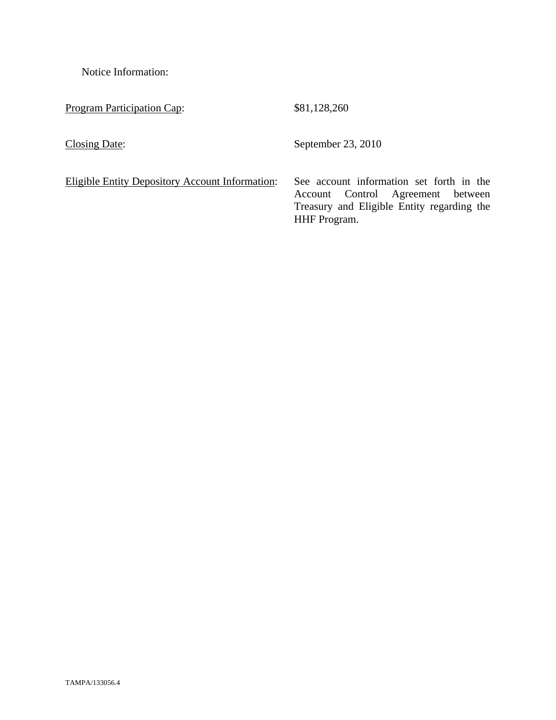Notice Information:

Program Participation Cap: \$81,128,260

Closing Date: September 23, 2010

Eligible Entity Depository Account Information: See account information set forth in the Account Control Agreement between Treasury and Eligible Entity regarding the HHF Program.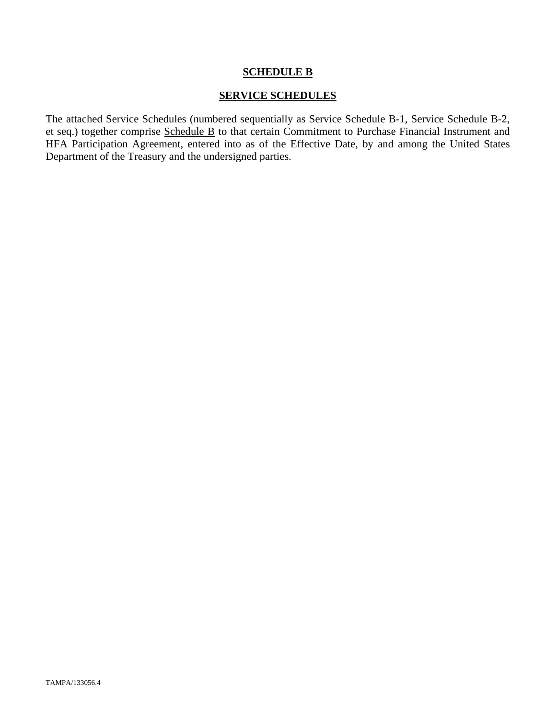#### **SCHEDULE B**

#### **SERVICE SCHEDULES**

The attached Service Schedules (numbered sequentially as Service Schedule B-1, Service Schedule B-2, et seq.) together comprise Schedule B to that certain Commitment to Purchase Financial Instrument and HFA Participation Agreement, entered into as of the Effective Date, by and among the United States Department of the Treasury and the undersigned parties.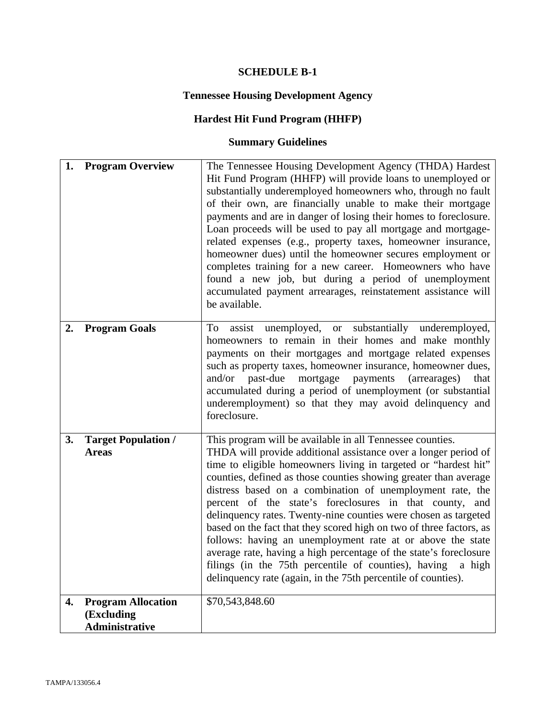# **SCHEDULE B-1**

# **Tennessee Housing Development Agency**

# **Hardest Hit Fund Program (HHFP)**

# **Summary Guidelines**

| 1. | <b>Program Overview</b>                                          | The Tennessee Housing Development Agency (THDA) Hardest<br>Hit Fund Program (HHFP) will provide loans to unemployed or<br>substantially underemployed homeowners who, through no fault<br>of their own, are financially unable to make their mortgage<br>payments and are in danger of losing their homes to foreclosure.<br>Loan proceeds will be used to pay all mortgage and mortgage-<br>related expenses (e.g., property taxes, homeowner insurance,<br>homeowner dues) until the homeowner secures employment or<br>completes training for a new career. Homeowners who have<br>found a new job, but during a period of unemployment<br>accumulated payment arrearages, reinstatement assistance will<br>be available.                                                                                |
|----|------------------------------------------------------------------|-------------------------------------------------------------------------------------------------------------------------------------------------------------------------------------------------------------------------------------------------------------------------------------------------------------------------------------------------------------------------------------------------------------------------------------------------------------------------------------------------------------------------------------------------------------------------------------------------------------------------------------------------------------------------------------------------------------------------------------------------------------------------------------------------------------|
| 2. | <b>Program Goals</b>                                             | assist unemployed, or substantially underemployed,<br>To<br>homeowners to remain in their homes and make monthly<br>payments on their mortgages and mortgage related expenses<br>such as property taxes, homeowner insurance, homeowner dues,<br>past-due<br>and/or<br>mortgage payments<br>(arrearages)<br>that<br>accumulated during a period of unemployment (or substantial<br>underemployment) so that they may avoid delinquency and<br>foreclosure.                                                                                                                                                                                                                                                                                                                                                  |
| 3. | <b>Target Population /</b><br><b>Areas</b>                       | This program will be available in all Tennessee counties.<br>THDA will provide additional assistance over a longer period of<br>time to eligible homeowners living in targeted or "hardest hit"<br>counties, defined as those counties showing greater than average<br>distress based on a combination of unemployment rate, the<br>percent of the state's foreclosures in that county, and<br>delinquency rates. Twenty-nine counties were chosen as targeted<br>based on the fact that they scored high on two of three factors, as<br>follows: having an unemployment rate at or above the state<br>average rate, having a high percentage of the state's foreclosure<br>filings (in the 75th percentile of counties), having<br>a high<br>delinquency rate (again, in the 75th percentile of counties). |
| 4. | <b>Program Allocation</b><br>(Excluding<br><b>Administrative</b> | \$70,543,848.60                                                                                                                                                                                                                                                                                                                                                                                                                                                                                                                                                                                                                                                                                                                                                                                             |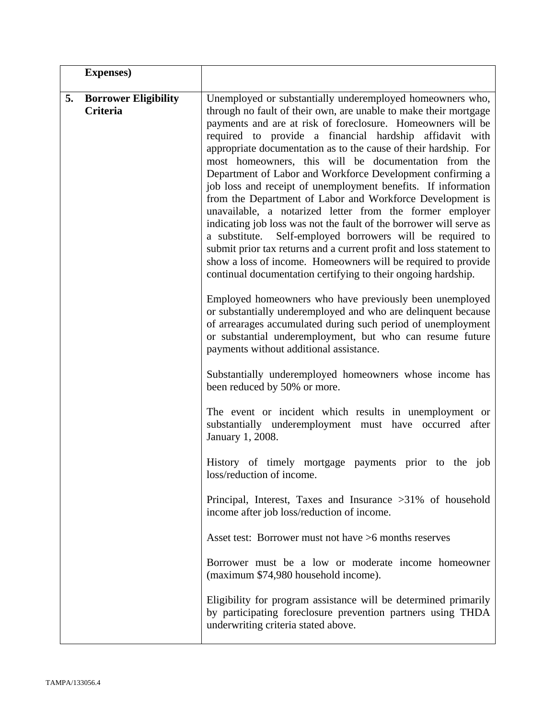|    | <b>Expenses</b> )                       |                                                                                                                                                                                                                                                                                                                                                                                                                                                                                                                                                                                                                                                                                                                                                                                                                                                                                                                                                                                          |
|----|-----------------------------------------|------------------------------------------------------------------------------------------------------------------------------------------------------------------------------------------------------------------------------------------------------------------------------------------------------------------------------------------------------------------------------------------------------------------------------------------------------------------------------------------------------------------------------------------------------------------------------------------------------------------------------------------------------------------------------------------------------------------------------------------------------------------------------------------------------------------------------------------------------------------------------------------------------------------------------------------------------------------------------------------|
| 5. | <b>Borrower Eligibility</b><br>Criteria | Unemployed or substantially underemployed homeowners who,<br>through no fault of their own, are unable to make their mortgage<br>payments and are at risk of foreclosure. Homeowners will be<br>required to provide a financial hardship affidavit with<br>appropriate documentation as to the cause of their hardship. For<br>most homeowners, this will be documentation from the<br>Department of Labor and Workforce Development confirming a<br>job loss and receipt of unemployment benefits. If information<br>from the Department of Labor and Workforce Development is<br>unavailable, a notarized letter from the former employer<br>indicating job loss was not the fault of the borrower will serve as<br>a substitute. Self-employed borrowers will be required to<br>submit prior tax returns and a current profit and loss statement to<br>show a loss of income. Homeowners will be required to provide<br>continual documentation certifying to their ongoing hardship. |
|    |                                         | Employed homeowners who have previously been unemployed<br>or substantially underemployed and who are delinquent because<br>of arrearages accumulated during such period of unemployment<br>or substantial underemployment, but who can resume future<br>payments without additional assistance.                                                                                                                                                                                                                                                                                                                                                                                                                                                                                                                                                                                                                                                                                         |
|    |                                         | Substantially underemployed homeowners whose income has<br>been reduced by 50% or more.                                                                                                                                                                                                                                                                                                                                                                                                                                                                                                                                                                                                                                                                                                                                                                                                                                                                                                  |
|    |                                         | The event or incident which results in unemployment or<br>substantially underemployment must have occurred after<br>January 1, 2008.                                                                                                                                                                                                                                                                                                                                                                                                                                                                                                                                                                                                                                                                                                                                                                                                                                                     |
|    |                                         | History of timely mortgage payments prior to the job<br>loss/reduction of income.                                                                                                                                                                                                                                                                                                                                                                                                                                                                                                                                                                                                                                                                                                                                                                                                                                                                                                        |
|    |                                         | Principal, Interest, Taxes and Insurance >31% of household<br>income after job loss/reduction of income.                                                                                                                                                                                                                                                                                                                                                                                                                                                                                                                                                                                                                                                                                                                                                                                                                                                                                 |
|    |                                         | Asset test: Borrower must not have >6 months reserves                                                                                                                                                                                                                                                                                                                                                                                                                                                                                                                                                                                                                                                                                                                                                                                                                                                                                                                                    |
|    |                                         | Borrower must be a low or moderate income homeowner<br>(maximum \$74,980 household income).                                                                                                                                                                                                                                                                                                                                                                                                                                                                                                                                                                                                                                                                                                                                                                                                                                                                                              |
|    |                                         | Eligibility for program assistance will be determined primarily<br>by participating foreclosure prevention partners using THDA<br>underwriting criteria stated above.                                                                                                                                                                                                                                                                                                                                                                                                                                                                                                                                                                                                                                                                                                                                                                                                                    |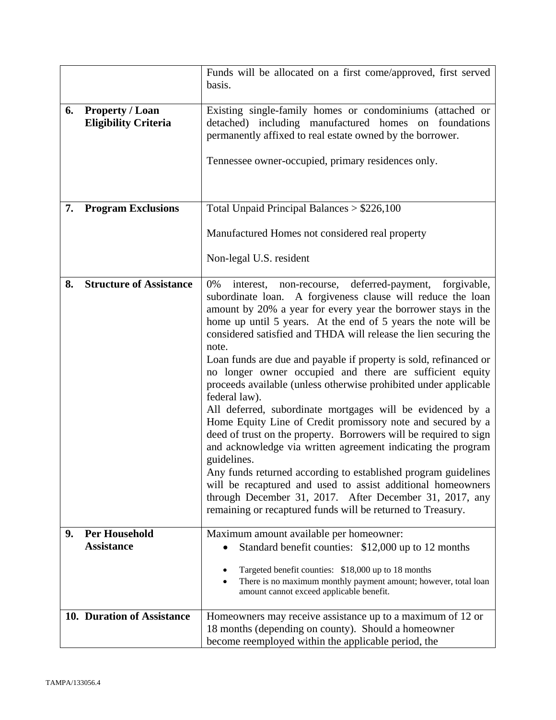|    |                                                       | Funds will be allocated on a first come/approved, first served<br>basis.                                                                                                                                                                                                                                                                                                                                                                                                                                                                                                                                                                                                                                                                                                                                                                                                                                                                                                                                                                                                                                          |
|----|-------------------------------------------------------|-------------------------------------------------------------------------------------------------------------------------------------------------------------------------------------------------------------------------------------------------------------------------------------------------------------------------------------------------------------------------------------------------------------------------------------------------------------------------------------------------------------------------------------------------------------------------------------------------------------------------------------------------------------------------------------------------------------------------------------------------------------------------------------------------------------------------------------------------------------------------------------------------------------------------------------------------------------------------------------------------------------------------------------------------------------------------------------------------------------------|
| 6. | <b>Property / Loan</b><br><b>Eligibility Criteria</b> | Existing single-family homes or condominiums (attached or<br>detached) including manufactured homes on foundations<br>permanently affixed to real estate owned by the borrower.<br>Tennessee owner-occupied, primary residences only.                                                                                                                                                                                                                                                                                                                                                                                                                                                                                                                                                                                                                                                                                                                                                                                                                                                                             |
| 7. | <b>Program Exclusions</b>                             | Total Unpaid Principal Balances $> $226,100$                                                                                                                                                                                                                                                                                                                                                                                                                                                                                                                                                                                                                                                                                                                                                                                                                                                                                                                                                                                                                                                                      |
|    |                                                       | Manufactured Homes not considered real property                                                                                                                                                                                                                                                                                                                                                                                                                                                                                                                                                                                                                                                                                                                                                                                                                                                                                                                                                                                                                                                                   |
|    |                                                       | Non-legal U.S. resident                                                                                                                                                                                                                                                                                                                                                                                                                                                                                                                                                                                                                                                                                                                                                                                                                                                                                                                                                                                                                                                                                           |
| 8. | <b>Structure of Assistance</b>                        | 0%<br>deferred-payment, forgivable,<br>interest,<br>non-recourse,<br>subordinate loan. A forgiveness clause will reduce the loan<br>amount by 20% a year for every year the borrower stays in the<br>home up until 5 years. At the end of 5 years the note will be<br>considered satisfied and THDA will release the lien securing the<br>note.<br>Loan funds are due and payable if property is sold, refinanced or<br>no longer owner occupied and there are sufficient equity<br>proceeds available (unless otherwise prohibited under applicable<br>federal law).<br>All deferred, subordinate mortgages will be evidenced by a<br>Home Equity Line of Credit promissory note and secured by a<br>deed of trust on the property. Borrowers will be required to sign<br>and acknowledge via written agreement indicating the program<br>guidelines.<br>Any funds returned according to established program guidelines<br>will be recaptured and used to assist additional homeowners<br>through December 31, 2017. After December 31, 2017, any<br>remaining or recaptured funds will be returned to Treasury. |
| 9. | <b>Per Household</b><br><b>Assistance</b>             | Maximum amount available per homeowner:<br>Standard benefit counties: \$12,000 up to 12 months<br>Targeted benefit counties: \$18,000 up to 18 months<br>There is no maximum monthly payment amount; however, total loan<br>amount cannot exceed applicable benefit.                                                                                                                                                                                                                                                                                                                                                                                                                                                                                                                                                                                                                                                                                                                                                                                                                                              |
|    | 10. Duration of Assistance                            | Homeowners may receive assistance up to a maximum of 12 or<br>18 months (depending on county). Should a homeowner<br>become reemployed within the applicable period, the                                                                                                                                                                                                                                                                                                                                                                                                                                                                                                                                                                                                                                                                                                                                                                                                                                                                                                                                          |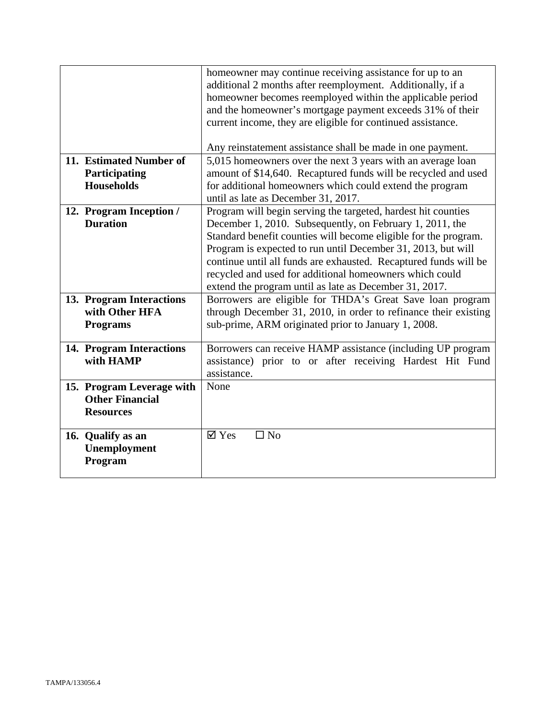|                           | homeowner may continue receiving assistance for up to an<br>additional 2 months after reemployment. Additionally, if a |
|---------------------------|------------------------------------------------------------------------------------------------------------------------|
|                           | homeowner becomes reemployed within the applicable period                                                              |
|                           | and the homeowner's mortgage payment exceeds 31% of their                                                              |
|                           | current income, they are eligible for continued assistance.                                                            |
|                           |                                                                                                                        |
|                           | Any reinstatement assistance shall be made in one payment.                                                             |
| 11. Estimated Number of   | 5,015 homeowners over the next 3 years with an average loan                                                            |
| Participating             | amount of \$14,640. Recaptured funds will be recycled and used                                                         |
| <b>Households</b>         | for additional homeowners which could extend the program                                                               |
|                           | until as late as December 31, 2017.                                                                                    |
| 12. Program Inception /   | Program will begin serving the targeted, hardest hit counties                                                          |
| <b>Duration</b>           | December 1, 2010. Subsequently, on February 1, 2011, the                                                               |
|                           | Standard benefit counties will become eligible for the program.                                                        |
|                           | Program is expected to run until December 31, 2013, but will                                                           |
|                           | continue until all funds are exhausted. Recaptured funds will be                                                       |
|                           | recycled and used for additional homeowners which could                                                                |
|                           | extend the program until as late as December 31, 2017.                                                                 |
| 13. Program Interactions  | Borrowers are eligible for THDA's Great Save loan program                                                              |
| with Other HFA            | through December 31, 2010, in order to refinance their existing                                                        |
| <b>Programs</b>           | sub-prime, ARM originated prior to January 1, 2008.                                                                    |
|                           |                                                                                                                        |
| 14. Program Interactions  | Borrowers can receive HAMP assistance (including UP program                                                            |
| with HAMP                 | assistance) prior to or after receiving Hardest Hit Fund                                                               |
|                           | assistance.                                                                                                            |
| 15. Program Leverage with | None                                                                                                                   |
| <b>Other Financial</b>    |                                                                                                                        |
| <b>Resources</b>          |                                                                                                                        |
|                           |                                                                                                                        |
| 16. Qualify as an         | $\boxtimes$ Yes<br>$\square$ No                                                                                        |
| Unemployment              |                                                                                                                        |
| Program                   |                                                                                                                        |
|                           |                                                                                                                        |